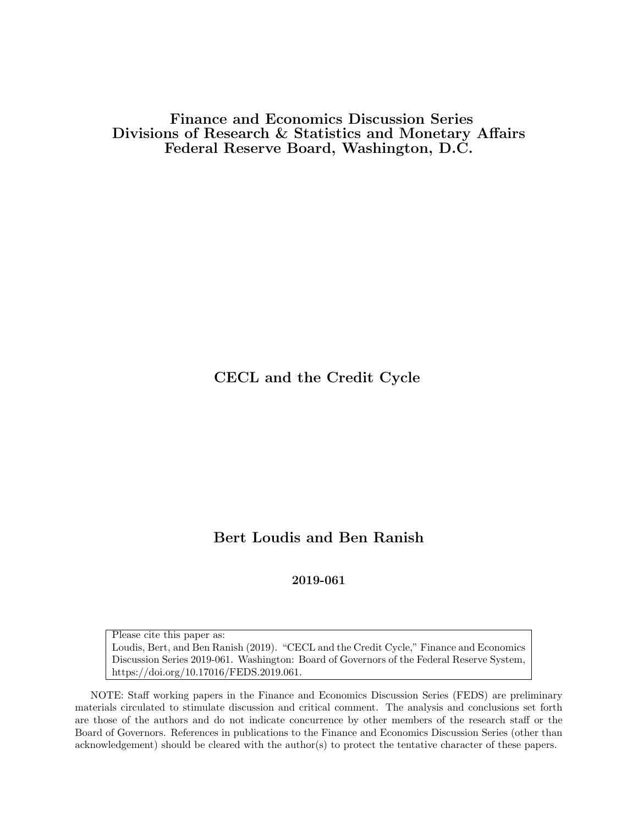Finance and Economics Discussion Series Divisions of Research & Statistics and Monetary Affairs Federal Reserve Board, Washington, D.C.

CECL and the Credit Cycle

# Bert Loudis and Ben Ranish

2019-061

Please cite this paper as: Loudis, Bert, and Ben Ranish (2019). "CECL and the Credit Cycle," Finance and Economics Discussion Series 2019-061. Washington: Board of Governors of the Federal Reserve System, https://doi.org/10.17016/FEDS.2019.061.

NOTE: Staff working papers in the Finance and Economics Discussion Series (FEDS) are preliminary materials circulated to stimulate discussion and critical comment. The analysis and conclusions set forth are those of the authors and do not indicate concurrence by other members of the research staff or the Board of Governors. References in publications to the Finance and Economics Discussion Series (other than acknowledgement) should be cleared with the author(s) to protect the tentative character of these papers.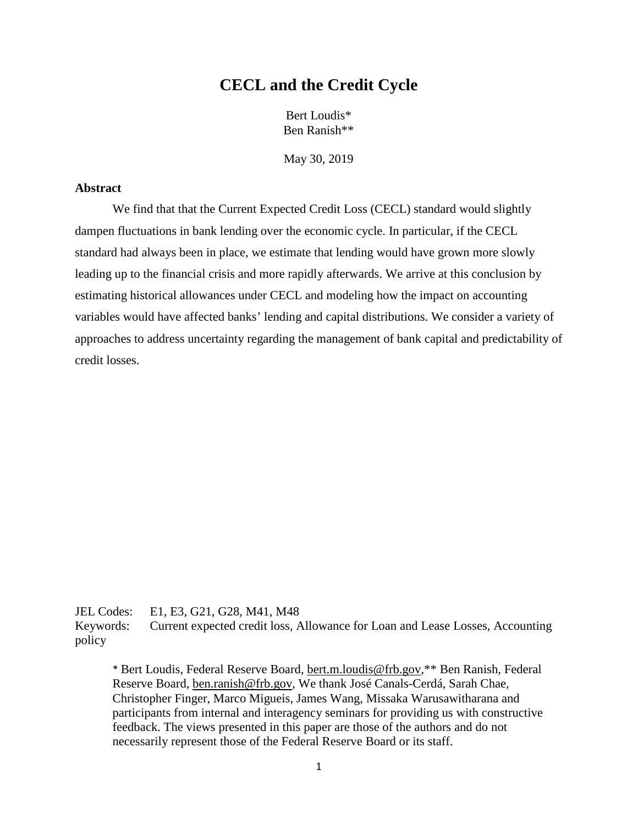# **CECL and the Credit Cycle**

Bert Loudis\* Ben Ranish\*\*

May 30, 2019

## **Abstract**

We find that that the Current Expected Credit Loss (CECL) standard would slightly dampen fluctuations in bank lending over the economic cycle. In particular, if the CECL standard had always been in place, we estimate that lending would have grown more slowly leading up to the financial crisis and more rapidly afterwards. We arrive at this conclusion by estimating historical allowances under CECL and modeling how the impact on accounting variables would have affected banks' lending and capital distributions. We consider a variety of approaches to address uncertainty regarding the management of bank capital and predictability of credit losses.

JEL Codes: E1, E3, G21, G28, M41, M48 Keywords: Current expected credit loss, Allowance for Loan and Lease Losses, Accounting policy

\* Bert Loudis, Federal Reserve Board, [bert.m.loudis@frb.gov,](mailto:bert.m.loudis@frb.gov)\*\* Ben Ranish, Federal Reserve Board, [ben.ranish@frb.gov,](mailto:ben.ranish@frb.gov) We thank José Canals-Cerdá, Sarah Chae, Christopher Finger, Marco Migueis, James Wang, Missaka Warusawitharana and participants from internal and interagency seminars for providing us with constructive feedback. The views presented in this paper are those of the authors and do not necessarily represent those of the Federal Reserve Board or its staff.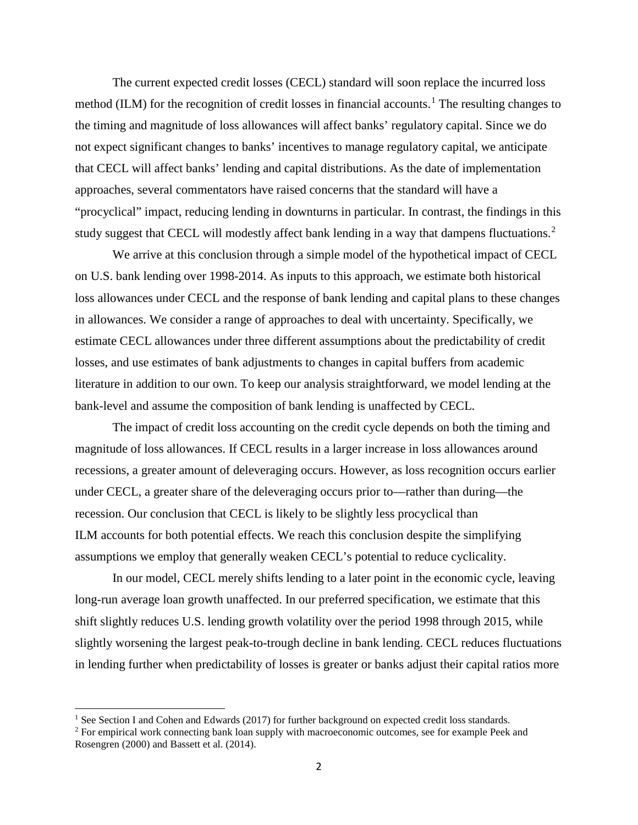The current expected credit losses (CECL) standard will soon replace the incurred loss method (ILM) for the recognition of credit losses in financial accounts.<sup>[1](#page-2-0)</sup> The resulting changes to the timing and magnitude of loss allowances will affect banks' regulatory capital. Since we do not expect significant changes to banks' incentives to manage regulatory capital, we anticipate that CECL will affect banks' lending and capital distributions. As the date of implementation approaches, several commentators have raised concerns that the standard will have a "procyclical" impact, reducing lending in downturns in particular. In contrast, the findings in this study suggest that CECL will modestly affect bank lending in a way that dampens fluctuations.<sup>[2](#page-2-1)</sup>

We arrive at this conclusion through a simple model of the hypothetical impact of CECL on U.S. bank lending over 1998-2014. As inputs to this approach, we estimate both historical loss allowances under CECL and the response of bank lending and capital plans to these changes in allowances. We consider a range of approaches to deal with uncertainty. Specifically, we estimate CECL allowances under three different assumptions about the predictability of credit losses, and use estimates of bank adjustments to changes in capital buffers from academic literature in addition to our own. To keep our analysis straightforward, we model lending at the bank-level and assume the composition of bank lending is unaffected by CECL.

The impact of credit loss accounting on the credit cycle depends on both the timing and magnitude of loss allowances. If CECL results in a larger increase in loss allowances around recessions, a greater amount of deleveraging occurs. However, as loss recognition occurs earlier under CECL, a greater share of the deleveraging occurs prior to—rather than during—the recession. Our conclusion that CECL is likely to be slightly less procyclical than ILM accounts for both potential effects. We reach this conclusion despite the simplifying assumptions we employ that generally weaken CECL's potential to reduce cyclicality.

In our model, CECL merely shifts lending to a later point in the economic cycle, leaving long-run average loan growth unaffected. In our preferred specification, we estimate that this shift slightly reduces U.S. lending growth volatility over the period 1998 through 2015, while slightly worsening the largest peak-to-trough decline in bank lending. CECL reduces fluctuations in lending further when predictability of losses is greater or banks adjust their capital ratios more

<span id="page-2-0"></span><sup>&</sup>lt;sup>1</sup> See Section [I](#page-3-0) and Cohen and Edwards (2017) for further background on expected credit loss standards.

<span id="page-2-1"></span><sup>&</sup>lt;sup>2</sup> For empirical work connecting bank loan supply with macroeconomic outcomes, see for example Peek and Rosengren (2000) and Bassett et al. (2014).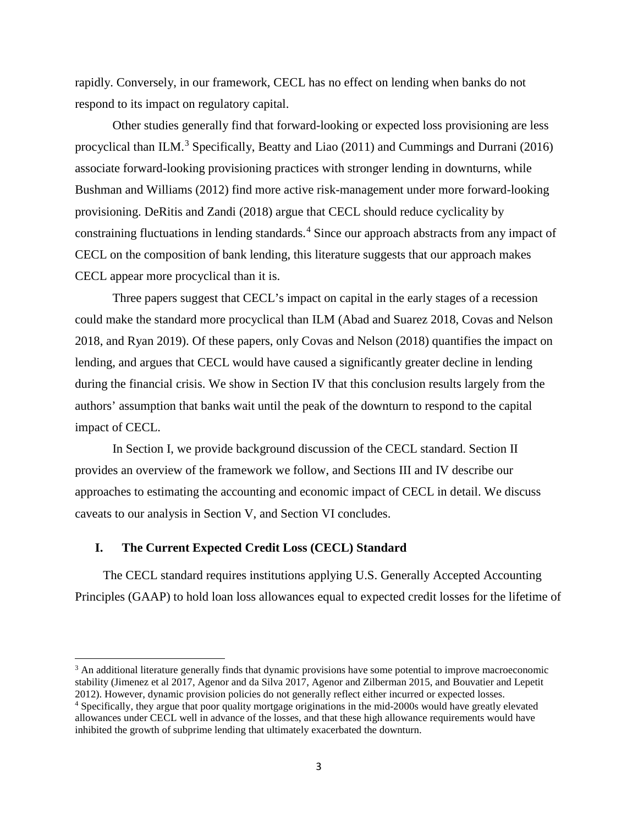rapidly. Conversely, in our framework, CECL has no effect on lending when banks do not respond to its impact on regulatory capital.

Other studies generally find that forward-looking or expected loss provisioning are less procyclical than ILM.<sup>[3](#page-3-1)</sup> Specifically, Beatty and Liao (2011) and Cummings and Durrani (2016) associate forward-looking provisioning practices with stronger lending in downturns, while Bushman and Williams (2012) find more active risk-management under more forward-looking provisioning. DeRitis and Zandi (2018) argue that CECL should reduce cyclicality by constraining fluctuations in lending standards.<sup>[4](#page-3-2)</sup> Since our approach abstracts from any impact of CECL on the composition of bank lending, this literature suggests that our approach makes CECL appear more procyclical than it is.

Three papers suggest that CECL's impact on capital in the early stages of a recession could make the standard more procyclical than ILM (Abad and Suarez 2018, Covas and Nelson 2018, and Ryan 2019). Of these papers, only Covas and Nelson (2018) quantifies the impact on lending, and argues that CECL would have caused a significantly greater decline in lending during the financial crisis. We show in Section [IV](#page-15-0) that this conclusion results largely from the authors' assumption that banks wait until the peak of the downturn to respond to the capital impact of CECL.

In Section [I,](#page-3-0) we provide background discussion of the CECL standard. Section [II](#page-5-0) provides an overview of the framework we follow, and Sections [III](#page-6-0) and [IV](#page-15-0) describe our approaches to estimating the accounting and economic impact of CECL in detail. We discuss caveats to our analysis in Section [V,](#page-23-0) and Section [VI](#page-25-0) concludes.

## <span id="page-3-0"></span>**I. The Current Expected Credit Loss (CECL) Standard**

l

The CECL standard requires institutions applying U.S. Generally Accepted Accounting Principles (GAAP) to hold loan loss allowances equal to expected credit losses for the lifetime of

<span id="page-3-1"></span><sup>&</sup>lt;sup>3</sup> An additional literature generally finds that dynamic provisions have some potential to improve macroeconomic stability (Jimenez et al 2017, Agenor and da Silva 2017, Agenor and Zilberman 2015, and Bouvatier and Lepetit 2012). However, dynamic provision policies do not generally reflect either incurred or expected losses.

<span id="page-3-2"></span><sup>4</sup> Specifically, they argue that poor quality mortgage originations in the mid-2000s would have greatly elevated allowances under CECL well in advance of the losses, and that these high allowance requirements would have inhibited the growth of subprime lending that ultimately exacerbated the downturn.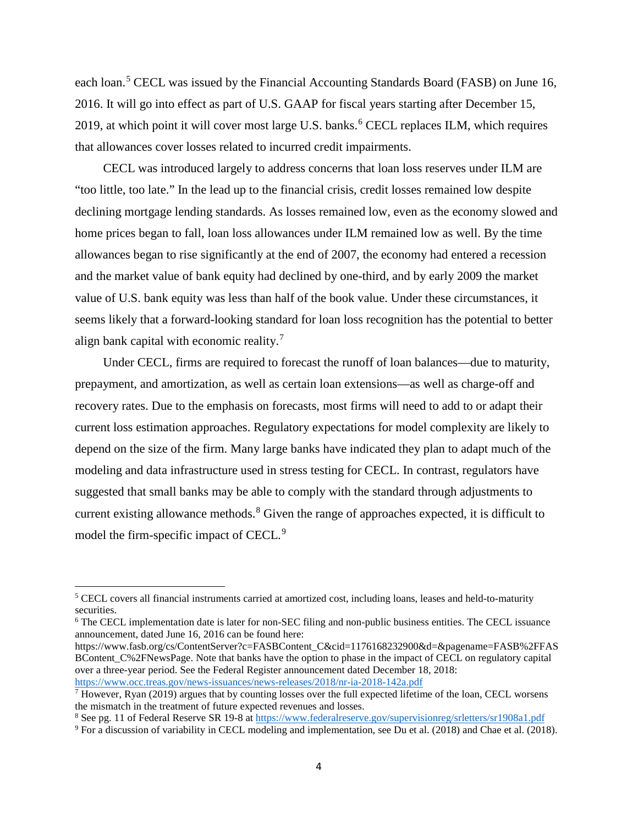each loan.<sup>[5](#page-4-0)</sup> CECL was issued by the Financial Accounting Standards Board (FASB) on June 16, 2016. It will go into effect as part of U.S. GAAP for fiscal years starting after December 15, 2019, at which point it will cover most large U.S. banks. [6](#page-4-1) CECL replaces ILM, which requires that allowances cover losses related to incurred credit impairments.

CECL was introduced largely to address concerns that loan loss reserves under ILM are "too little, too late." In the lead up to the financial crisis, credit losses remained low despite declining mortgage lending standards. As losses remained low, even as the economy slowed and home prices began to fall, loan loss allowances under ILM remained low as well. By the time allowances began to rise significantly at the end of 2007, the economy had entered a recession and the market value of bank equity had declined by one-third, and by early 2009 the market value of U.S. bank equity was less than half of the book value. Under these circumstances, it seems likely that a forward-looking standard for loan loss recognition has the potential to better align bank capital with economic reality.<sup>[7](#page-4-2)</sup>

Under CECL, firms are required to forecast the runoff of loan balances—due to maturity, prepayment, and amortization, as well as certain loan extensions—as well as charge-off and recovery rates. Due to the emphasis on forecasts, most firms will need to add to or adapt their current loss estimation approaches. Regulatory expectations for model complexity are likely to depend on the size of the firm. Many large banks have indicated they plan to adapt much of the modeling and data infrastructure used in stress testing for CECL. In contrast, regulators have suggested that small banks may be able to comply with the standard through adjustments to current existing allowance methods.<sup>[8](#page-4-3)</sup> Given the range of approaches expected, it is difficult to model the firm-specific impact of CECL.<sup>[9](#page-4-4)</sup>

<span id="page-4-0"></span><sup>5</sup> CECL covers all financial instruments carried at amortized cost, including loans, leases and held-to-maturity securities.

<span id="page-4-1"></span><sup>6</sup> The CECL implementation date is later for non-SEC filing and non-public business entities. The CECL issuance announcement, dated June 16, 2016 can be found here:

https://www.fasb.org/cs/ContentServer?c=FASBContent\_C&cid=1176168232900&d=&pagename=FASB%2FFAS BContent\_C%2FNewsPage. Note that banks have the option to phase in the impact of CECL on regulatory capital over a three-year period. See the Federal Register announcement dated December 18, 2018: <https://www.occ.treas.gov/news-issuances/news-releases/2018/nr-ia-2018-142a.pdf>

<span id="page-4-2"></span> $^7$  However, Ryan (2019) argues that by counting losses over the full expected lifetime of the loan, CECL worsens the mismatch in the treatment of future expected revenues and losses.

<span id="page-4-3"></span><sup>8</sup> See pg. 11 of Federal Reserve SR 19-8 a[t https://www.federalreserve.gov/supervisionreg/srletters/sr1908a1.pdf](https://www.federalreserve.gov/supervisionreg/srletters/sr1908a1.pdf)

<span id="page-4-4"></span><sup>9</sup> For a discussion of variability in CECL modeling and implementation, see Du et al. (2018) and Chae et al. (2018).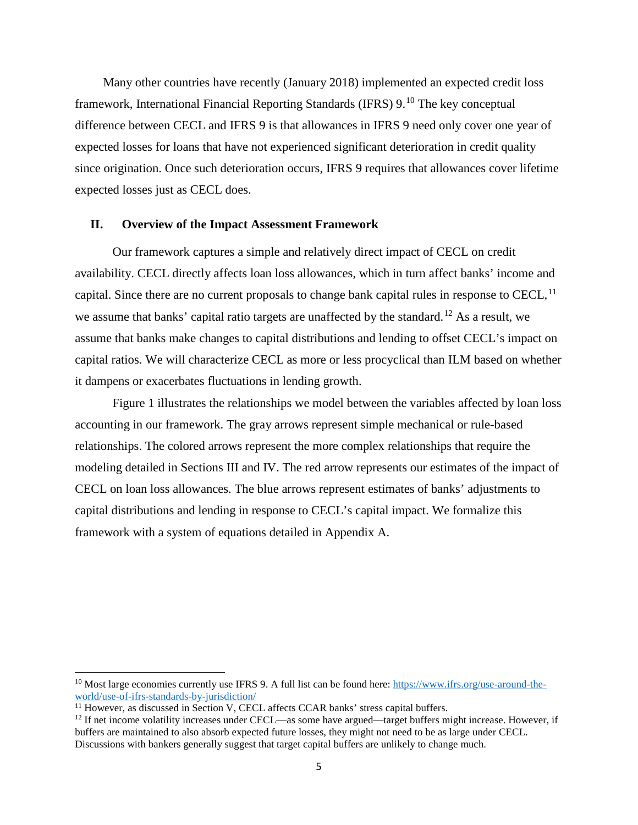Many other countries have recently (January 2018) implemented an expected credit loss framework, International Financial Reporting Standards (IFRS) 9.<sup>[10](#page-5-1)</sup> The key conceptual difference between CECL and IFRS 9 is that allowances in IFRS 9 need only cover one year of expected losses for loans that have not experienced significant deterioration in credit quality since origination. Once such deterioration occurs, IFRS 9 requires that allowances cover lifetime expected losses just as CECL does.

## <span id="page-5-0"></span>**II. Overview of the Impact Assessment Framework**

Our framework captures a simple and relatively direct impact of CECL on credit availability. CECL directly affects loan loss allowances, which in turn affect banks' income and capital. Since there are no current proposals to change bank capital rules in response to CECL,<sup>[11](#page-5-2)</sup> we assume that banks' capital ratio targets are unaffected by the standard.<sup>[12](#page-5-3)</sup> As a result, we assume that banks make changes to capital distributions and lending to offset CECL's impact on capital ratios. We will characterize CECL as more or less procyclical than ILM based on whether it dampens or exacerbates fluctuations in lending growth.

[Figure 1](#page-6-1) illustrates the relationships we model between the variables affected by loan loss accounting in our framework. The gray arrows represent simple mechanical or rule-based relationships. The colored arrows represent the more complex relationships that require the modeling detailed in Sections [III](#page-6-0) and [IV.](#page-15-0) The red arrow represents our estimates of the impact of CECL on loan loss allowances. The blue arrows represent estimates of banks' adjustments to capital distributions and lending in response to CECL's capital impact. We formalize this framework with a system of equations detailed in Appendix A.

<span id="page-5-1"></span><sup>&</sup>lt;sup>10</sup> Most large economies currently use IFRS 9. A full list can be found here: [https://www.ifrs.org/use-around-the](https://www.ifrs.org/use-around-the-world/use-of-ifrs-standards-by-jurisdiction/)[world/use-of-ifrs-standards-by-jurisdiction/](https://www.ifrs.org/use-around-the-world/use-of-ifrs-standards-by-jurisdiction/)

<span id="page-5-2"></span> $11$  However, as discussed in Section [V,](#page-23-0) CECL affects CCAR banks' stress capital buffers.

<span id="page-5-3"></span> $12$  If net income volatility increases under CECL—as some have argued—target buffers might increase. However, if buffers are maintained to also absorb expected future losses, they might not need to be as large under CECL. Discussions with bankers generally suggest that target capital buffers are unlikely to change much.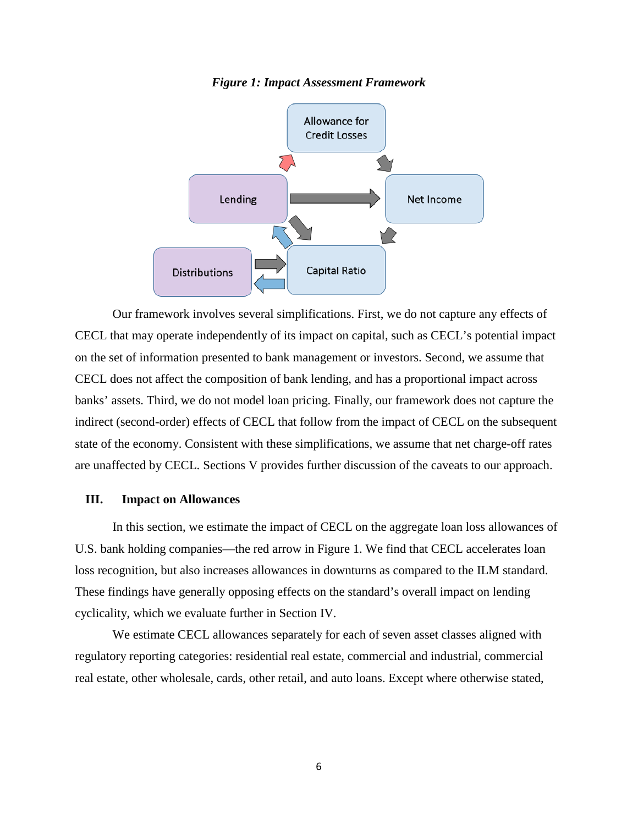<span id="page-6-1"></span>

#### *Figure 1: Impact Assessment Framework*

Our framework involves several simplifications. First, we do not capture any effects of CECL that may operate independently of its impact on capital, such as CECL's potential impact on the set of information presented to bank management or investors. Second, we assume that CECL does not affect the composition of bank lending, and has a proportional impact across banks' assets. Third, we do not model loan pricing. Finally, our framework does not capture the indirect (second-order) effects of CECL that follow from the impact of CECL on the subsequent state of the economy. Consistent with these simplifications, we assume that net charge-off rates are unaffected by CECL. Sections [V](#page-23-0) provides further discussion of the caveats to our approach.

## <span id="page-6-0"></span>**III. Impact on Allowances**

In this section, we estimate the impact of CECL on the aggregate loan loss allowances of U.S. bank holding companies—the red arrow in [Figure 1.](#page-6-1) We find that CECL accelerates loan loss recognition, but also increases allowances in downturns as compared to the ILM standard. These findings have generally opposing effects on the standard's overall impact on lending cyclicality, which we evaluate further in Section [IV.](#page-15-0)

We estimate CECL allowances separately for each of seven asset classes aligned with regulatory reporting categories: residential real estate, commercial and industrial, commercial real estate, other wholesale, cards, other retail, and auto loans. Except where otherwise stated,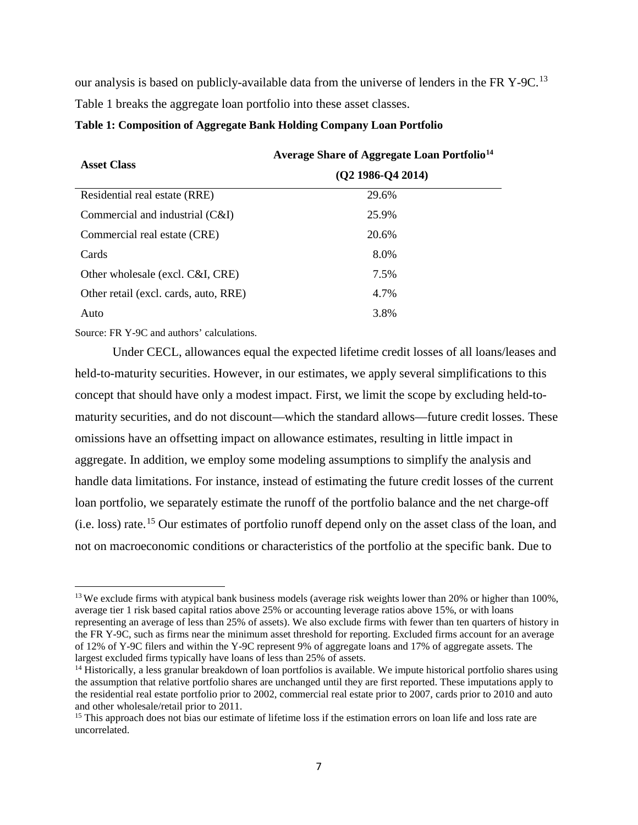our analysis is based on publicly-available data from the universe of lenders in the FR Y-9C.<sup>[13](#page-7-1)</sup> [Table 1](#page-7-0) breaks the aggregate loan portfolio into these asset classes.

#### <span id="page-7-0"></span>**Table 1: Composition of Aggregate Bank Holding Company Loan Portfolio**

| <b>Asset Class</b>                    | Average Share of Aggregate Loan Portfolio <sup>14</sup><br>$(Q2 1986-Q4 2014)$ |  |  |  |
|---------------------------------------|--------------------------------------------------------------------------------|--|--|--|
|                                       |                                                                                |  |  |  |
| Residential real estate (RRE)         | 29.6%                                                                          |  |  |  |
| Commercial and industrial (C&I)       | 25.9%                                                                          |  |  |  |
| Commercial real estate (CRE)          | 20.6%                                                                          |  |  |  |
| Cards                                 | 8.0%                                                                           |  |  |  |
| Other wholesale (excl. C&I, CRE)      | 7.5%                                                                           |  |  |  |
| Other retail (excl. cards, auto, RRE) | 4.7%                                                                           |  |  |  |
| Auto                                  | 3.8%                                                                           |  |  |  |
|                                       |                                                                                |  |  |  |

Source: FR Y-9C and authors' calculations.

l

Under CECL, allowances equal the expected lifetime credit losses of all loans/leases and held-to-maturity securities. However, in our estimates, we apply several simplifications to this concept that should have only a modest impact. First, we limit the scope by excluding held-tomaturity securities, and do not discount—which the standard allows—future credit losses. These omissions have an offsetting impact on allowance estimates, resulting in little impact in aggregate. In addition, we employ some modeling assumptions to simplify the analysis and handle data limitations. For instance, instead of estimating the future credit losses of the current loan portfolio, we separately estimate the runoff of the portfolio balance and the net charge-off (i.e. loss) rate.[15](#page-7-3) Our estimates of portfolio runoff depend only on the asset class of the loan, and not on macroeconomic conditions or characteristics of the portfolio at the specific bank. Due to

<span id="page-7-1"></span><sup>&</sup>lt;sup>13</sup> We exclude firms with atypical bank business models (average risk weights lower than 20% or higher than 100%, average tier 1 risk based capital ratios above 25% or accounting leverage ratios above 15%, or with loans representing an average of less than 25% of assets). We also exclude firms with fewer than ten quarters of history in the FR Y-9C, such as firms near the minimum asset threshold for reporting. Excluded firms account for an average of 12% of Y-9C filers and within the Y-9C represent 9% of aggregate loans and 17% of aggregate assets. The largest excluded firms typically have loans of less than 25% of assets.

<span id="page-7-2"></span><sup>&</sup>lt;sup>14</sup> Historically, a less granular breakdown of loan portfolios is available. We impute historical portfolio shares using the assumption that relative portfolio shares are unchanged until they are first reported. These imputations apply to the residential real estate portfolio prior to 2002, commercial real estate prior to 2007, cards prior to 2010 and auto and other wholesale/retail prior to 2011.

<span id="page-7-3"></span><sup>&</sup>lt;sup>15</sup> This approach does not bias our estimate of lifetime loss if the estimation errors on loan life and loss rate are uncorrelated.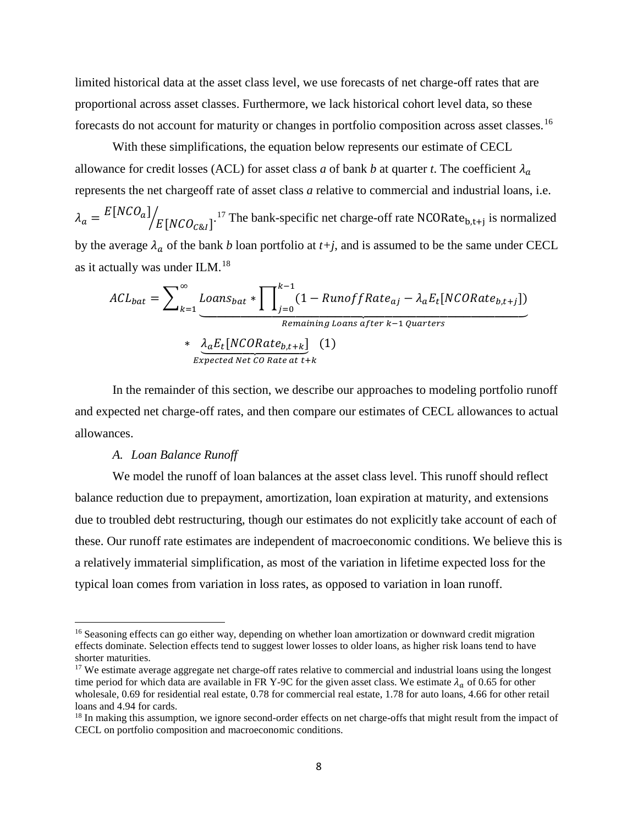limited historical data at the asset class level, we use forecasts of net charge-off rates that are proportional across asset classes. Furthermore, we lack historical cohort level data, so these forecasts do not account for maturity or changes in portfolio composition across asset classes.<sup>[16](#page-8-0)</sup>

With these simplifications, the equation below represents our estimate of CECL allowance for credit losses (ACL) for asset class *a* of bank *b* at quarter *t*. The coefficient  $\lambda_a$ represents the net chargeoff rate of asset class *a* relative to commercial and industrial loans, i.e.

 $\lambda_a = \frac{E[NCO_a]}{E[NCO_{c\&1}]}$ .<sup>[17](#page-8-1)</sup> The bank-specific net charge-off rate NCORate<sub>b,t+j</sub> is normalized by the average  $\lambda_a$  of the bank *b* loan portfolio at  $t+j$ , and is assumed to be the same under CECL as it actually was under ILM.[18](#page-8-2)

$$
ACL_{bat} = \sum_{k=1}^{\infty} \underbrace{Loans_{bat} * \prod_{j=0}^{k-1} (1 - RunoffRate_{aj} - \lambda_a E_t[NCORate_{b,t+j}])}_{\text{Remaining Loans after } k-1 \text{ quarters}}
$$
  
\* 
$$
\underbrace{\lambda_a E_t[NCORate_{b,t+k}]}_{\text{Expected Net CO Rate at t+k}} (1)
$$

In the remainder of this section, we describe our approaches to modeling portfolio runoff and expected net charge-off rates, and then compare our estimates of CECL allowances to actual allowances.

#### *A. Loan Balance Runoff*

 $\overline{\phantom{a}}$ 

We model the runoff of loan balances at the asset class level. This runoff should reflect balance reduction due to prepayment, amortization, loan expiration at maturity, and extensions due to troubled debt restructuring, though our estimates do not explicitly take account of each of these. Our runoff rate estimates are independent of macroeconomic conditions. We believe this is a relatively immaterial simplification, as most of the variation in lifetime expected loss for the typical loan comes from variation in loss rates, as opposed to variation in loan runoff.

<span id="page-8-0"></span><sup>&</sup>lt;sup>16</sup> Seasoning effects can go either way, depending on whether loan amortization or downward credit migration effects dominate. Selection effects tend to suggest lower losses to older loans, as higher risk loans tend to have shorter maturities.

<span id="page-8-1"></span><sup>&</sup>lt;sup>17</sup> We estimate average aggregate net charge-off rates relative to commercial and industrial loans using the longest time period for which data are available in FR Y-9C for the given asset class. We estimate  $\lambda_a$  of 0.65 for other wholesale, 0.69 for residential real estate, 0.78 for commercial real estate, 1.78 for auto loans, 4.66 for other retail loans and 4.94 for cards.

<span id="page-8-2"></span><sup>&</sup>lt;sup>18</sup> In making this assumption, we ignore second-order effects on net charge-offs that might result from the impact of CECL on portfolio composition and macroeconomic conditions.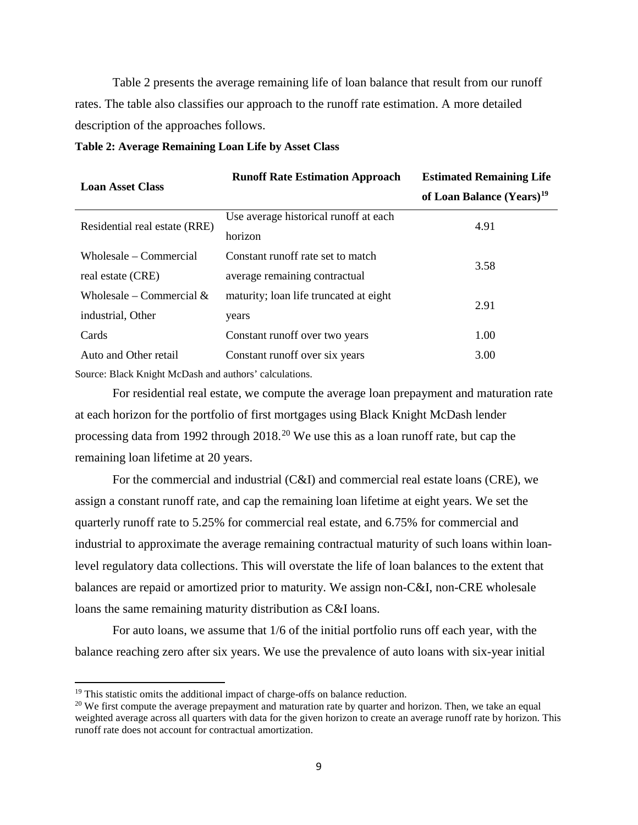[Table 2](#page-9-0) presents the average remaining life of loan balance that result from our runoff rates. The table also classifies our approach to the runoff rate estimation. A more detailed description of the approaches follows.

#### <span id="page-9-0"></span>**Table 2: Average Remaining Loan Life by Asset Class**

|                                                        | <b>Runoff Rate Estimation Approach</b> | <b>Estimated Remaining Life</b>       |  |
|--------------------------------------------------------|----------------------------------------|---------------------------------------|--|
| <b>Loan Asset Class</b>                                |                                        | of Loan Balance (Years) <sup>19</sup> |  |
| Residential real estate (RRE)                          | Use average historical runoff at each  | 4.91                                  |  |
|                                                        | horizon                                |                                       |  |
| Wholesale – Commercial                                 | Constant runoff rate set to match      | 3.58                                  |  |
| real estate (CRE)                                      | average remaining contractual          |                                       |  |
| Wholesale – Commercial $&$                             | maturity; loan life truncated at eight | 2.91                                  |  |
| industrial, Other                                      | years                                  |                                       |  |
| Cards                                                  | Constant runoff over two years         | 1.00                                  |  |
| Auto and Other retail                                  | Constant runoff over six years         | 3.00                                  |  |
| Source: Black Knight McDash and authors' calculations. |                                        |                                       |  |

For residential real estate, we compute the average loan prepayment and maturation rate at each horizon for the portfolio of first mortgages using Black Knight McDash lender processing data from 1992 through [20](#page-9-2)18.<sup>20</sup> We use this as a loan runoff rate, but cap the remaining loan lifetime at 20 years.

For the commercial and industrial (C&I) and commercial real estate loans (CRE), we assign a constant runoff rate, and cap the remaining loan lifetime at eight years. We set the quarterly runoff rate to 5.25% for commercial real estate, and 6.75% for commercial and industrial to approximate the average remaining contractual maturity of such loans within loanlevel regulatory data collections. This will overstate the life of loan balances to the extent that balances are repaid or amortized prior to maturity. We assign non-C&I, non-CRE wholesale loans the same remaining maturity distribution as C&I loans.

For auto loans, we assume that 1/6 of the initial portfolio runs off each year, with the balance reaching zero after six years. We use the prevalence of auto loans with six-year initial

<span id="page-9-1"></span><sup>&</sup>lt;sup>19</sup> This statistic omits the additional impact of charge-offs on balance reduction.

<span id="page-9-2"></span><sup>&</sup>lt;sup>20</sup> We first compute the average prepayment and maturation rate by quarter and horizon. Then, we take an equal weighted average across all quarters with data for the given horizon to create an average runoff rate by horizon. This runoff rate does not account for contractual amortization.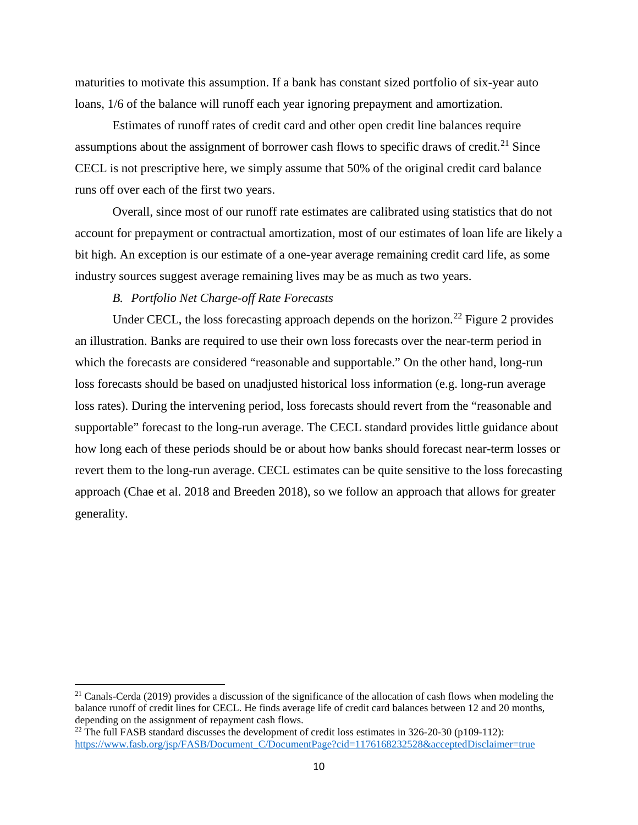maturities to motivate this assumption. If a bank has constant sized portfolio of six-year auto loans, 1/6 of the balance will runoff each year ignoring prepayment and amortization.

Estimates of runoff rates of credit card and other open credit line balances require assumptions about the assignment of borrower cash flows to specific draws of credit.<sup>[21](#page-10-0)</sup> Since CECL is not prescriptive here, we simply assume that 50% of the original credit card balance runs off over each of the first two years.

Overall, since most of our runoff rate estimates are calibrated using statistics that do not account for prepayment or contractual amortization, most of our estimates of loan life are likely a bit high. An exception is our estimate of a one-year average remaining credit card life, as some industry sources suggest average remaining lives may be as much as two years.

## *B. Portfolio Net Charge-off Rate Forecasts*

 $\overline{\phantom{a}}$ 

Under CECL, the loss forecasting approach depends on the horizon.<sup>[22](#page-10-1)</sup> [Figure 2](#page-11-0) provides an illustration. Banks are required to use their own loss forecasts over the near-term period in which the forecasts are considered "reasonable and supportable." On the other hand, long-run loss forecasts should be based on unadjusted historical loss information (e.g. long-run average loss rates). During the intervening period, loss forecasts should revert from the "reasonable and supportable" forecast to the long-run average. The CECL standard provides little guidance about how long each of these periods should be or about how banks should forecast near-term losses or revert them to the long-run average. CECL estimates can be quite sensitive to the loss forecasting approach (Chae et al. 2018 and Breeden 2018), so we follow an approach that allows for greater generality.

<span id="page-10-0"></span><sup>&</sup>lt;sup>21</sup> Canals-Cerda (2019) provides a discussion of the significance of the allocation of cash flows when modeling the balance runoff of credit lines for CECL. He finds average life of credit card balances between 12 and 20 months, depending on the assignment of repayment cash flows.

<span id="page-10-1"></span><sup>&</sup>lt;sup>22</sup> The full FASB standard discusses the development of credit loss estimates in 326-20-30 (p109-112): [https://www.fasb.org/jsp/FASB/Document\\_C/DocumentPage?cid=1176168232528&acceptedDisclaimer=true](https://www.fasb.org/jsp/FASB/Document_C/DocumentPage?cid=1176168232528&acceptedDisclaimer=true)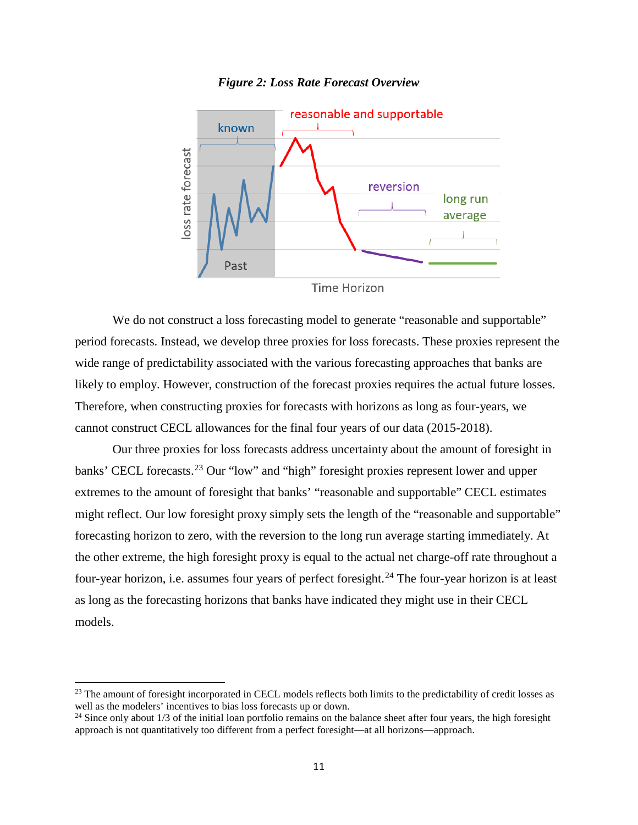

<span id="page-11-0"></span>

**Time Horizon** 

We do not construct a loss forecasting model to generate "reasonable and supportable" period forecasts. Instead, we develop three proxies for loss forecasts. These proxies represent the wide range of predictability associated with the various forecasting approaches that banks are likely to employ. However, construction of the forecast proxies requires the actual future losses. Therefore, when constructing proxies for forecasts with horizons as long as four-years, we cannot construct CECL allowances for the final four years of our data (2015-2018).

Our three proxies for loss forecasts address uncertainty about the amount of foresight in banks' CECL forecasts.<sup>[23](#page-11-1)</sup> Our "low" and "high" foresight proxies represent lower and upper extremes to the amount of foresight that banks' "reasonable and supportable" CECL estimates might reflect. Our low foresight proxy simply sets the length of the "reasonable and supportable" forecasting horizon to zero, with the reversion to the long run average starting immediately. At the other extreme, the high foresight proxy is equal to the actual net charge-off rate throughout a four-year horizon, i.e. assumes four years of perfect foresight.<sup>[24](#page-11-2)</sup> The four-year horizon is at least as long as the forecasting horizons that banks have indicated they might use in their CECL models.

<span id="page-11-1"></span><sup>&</sup>lt;sup>23</sup> The amount of foresight incorporated in CECL models reflects both limits to the predictability of credit losses as well as the modelers' incentives to bias loss forecasts up or down.

<span id="page-11-2"></span><sup>&</sup>lt;sup>24</sup> Since only about 1/3 of the initial loan portfolio remains on the balance sheet after four years, the high foresight approach is not quantitatively too different from a perfect foresight—at all horizons—approach.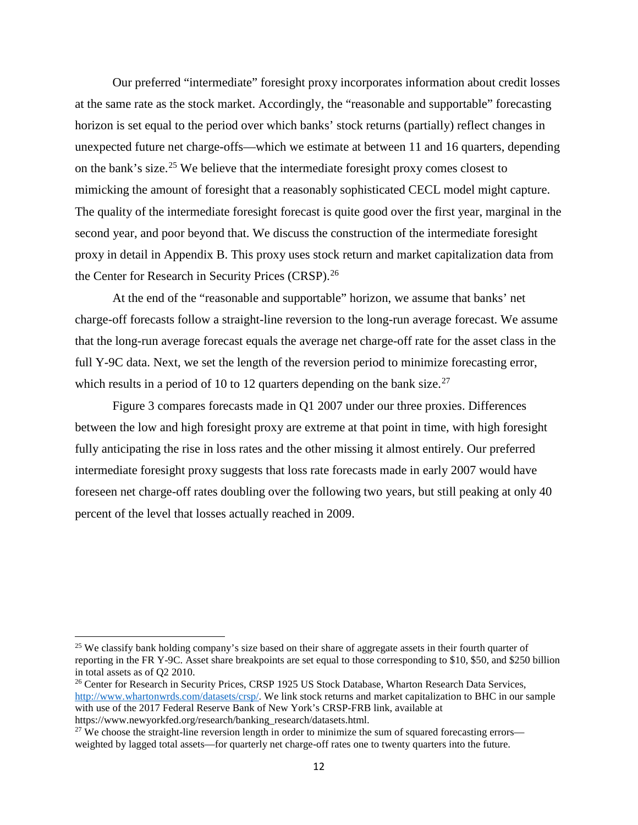<span id="page-12-3"></span>Our preferred "intermediate" foresight proxy incorporates information about credit losses at the same rate as the stock market. Accordingly, the "reasonable and supportable" forecasting horizon is set equal to the period over which banks' stock returns (partially) reflect changes in unexpected future net charge-offs—which we estimate at between 11 and 16 quarters, depending on the bank's size.<sup>[25](#page-12-0)</sup> We believe that the intermediate foresight proxy comes closest to mimicking the amount of foresight that a reasonably sophisticated CECL model might capture. The quality of the intermediate foresight forecast is quite good over the first year, marginal in the second year, and poor beyond that. We discuss the construction of the intermediate foresight proxy in detail in Appendix B. This proxy uses stock return and market capitalization data from the Center for Research in Security Prices (CRSP).<sup>[26](#page-12-1)</sup>

At the end of the "reasonable and supportable" horizon, we assume that banks' net charge-off forecasts follow a straight-line reversion to the long-run average forecast. We assume that the long-run average forecast equals the average net charge-off rate for the asset class in the full Y-9C data. Next, we set the length of the reversion period to minimize forecasting error, which results in a period of 10 to 12 quarters depending on the bank size.<sup>[27](#page-12-2)</sup>

[Figure 3](#page-13-0) compares forecasts made in Q1 2007 under our three proxies. Differences between the low and high foresight proxy are extreme at that point in time, with high foresight fully anticipating the rise in loss rates and the other missing it almost entirely. Our preferred intermediate foresight proxy suggests that loss rate forecasts made in early 2007 would have foreseen net charge-off rates doubling over the following two years, but still peaking at only 40 percent of the level that losses actually reached in 2009.

<span id="page-12-0"></span><sup>&</sup>lt;sup>25</sup> We classify bank holding company's size based on their share of aggregate assets in their fourth quarter of reporting in the FR Y-9C. Asset share breakpoints are set equal to those corresponding to \$10, \$50, and \$250 billion in total assets as of Q2 2010.

<span id="page-12-1"></span><sup>&</sup>lt;sup>26</sup> Center for Research in Security Prices, CRSP 1925 US Stock Database, Wharton Research Data Services, [http://www.whartonwrds.com/datasets/crsp/.](http://library.frb.gov/search%7ES1?/X(crsp)&searchscope=1&SORT=R/X(crsp)&searchscope=1&SORT=R&SUBKEY=(crsp)/1%2C13%2C13%2CB/eresource&FF=X(crsp)&searchscope=1&SORT=R&9%2C9%2C) We link stock returns and market capitalization to BHC in our sample with use of the 2017 Federal Reserve Bank of New York's CRSP-FRB link, available at https://www.newyorkfed.org/research/banking\_research/datasets.html.

<span id="page-12-2"></span><sup>&</sup>lt;sup>27</sup> We choose the straight-line reversion length in order to minimize the sum of squared forecasting errors weighted by lagged total assets—for quarterly net charge-off rates one to twenty quarters into the future.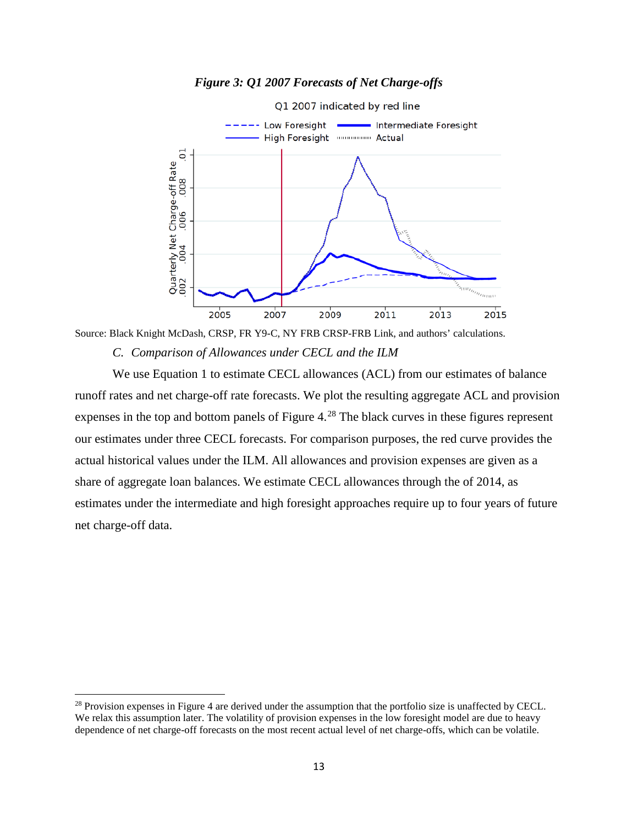<span id="page-13-0"></span>

*Figure 3: Q1 2007 Forecasts of Net Charge-offs*

Source: Black Knight McDash, CRSP, FR Y9-C, NY FRB CRSP-FRB Link, and authors' calculations. *C. Comparison of Allowances under CECL and the ILM*

We use Equation 1 to estimate CECL allowances (ACL) from our estimates of balance runoff rates and net charge-off rate forecasts. We plot the resulting aggregate ACL and provision expenses in the top and bottom panels of [Figure 4.](#page-14-0)<sup>[28](#page-13-1)</sup> The black curves in these figures represent our estimates under three CECL forecasts. For comparison purposes, the red curve provides the actual historical values under the ILM. All allowances and provision expenses are given as a share of aggregate loan balances. We estimate CECL allowances through the of 2014, as estimates under the intermediate and high foresight approaches require up to four years of future net charge-off data.

<span id="page-13-1"></span> $^{28}$  Provision expenses i[n Figure 4](#page-14-0) are derived under the assumption that the portfolio size is unaffected by CECL. We relax this assumption later. The volatility of provision expenses in the low foresight model are due to heavy dependence of net charge-off forecasts on the most recent actual level of net charge-offs, which can be volatile.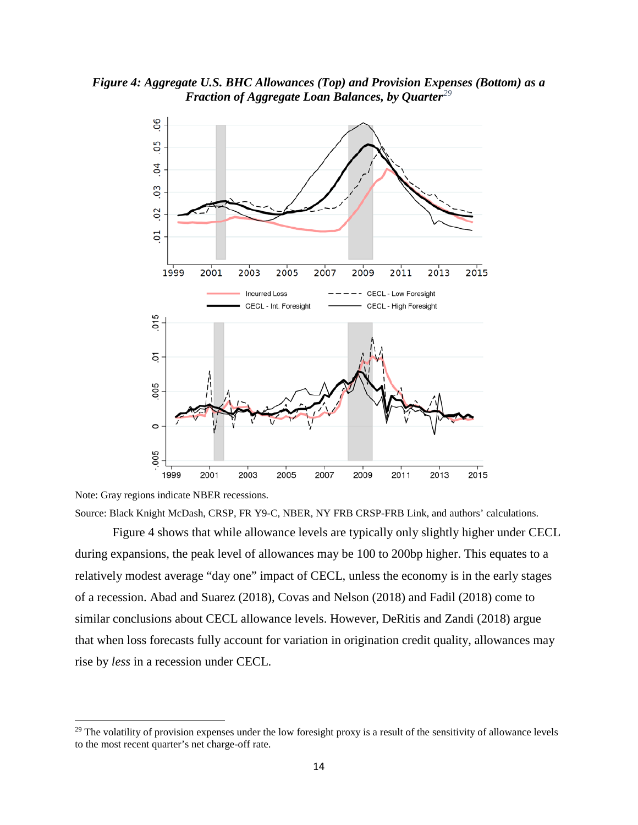<span id="page-14-0"></span>*Figure 4: Aggregate U.S. BHC Allowances (Top) and Provision Expenses (Bottom) as a Fraction of Aggregate Loan Balances, by Quarter[29](#page-14-1)*



Note: Gray regions indicate NBER recessions.

 $\overline{\phantom{a}}$ 

Source: Black Knight McDash, CRSP, FR Y9-C, NBER, NY FRB CRSP-FRB Link, and authors' calculations.

Figure 4 shows that while allowance levels are typically only slightly higher under CECL during expansions, the peak level of allowances may be 100 to 200bp higher. This equates to a relatively modest average "day one" impact of CECL, unless the economy is in the early stages of a recession. Abad and Suarez (2018), Covas and Nelson (2018) and Fadil (2018) come to similar conclusions about CECL allowance levels. However, DeRitis and Zandi (2018) argue that when loss forecasts fully account for variation in origination credit quality, allowances may rise by *less* in a recession under CECL.

<span id="page-14-1"></span> $29$  The volatility of provision expenses under the low foresight proxy is a result of the sensitivity of allowance levels to the most recent quarter's net charge-off rate.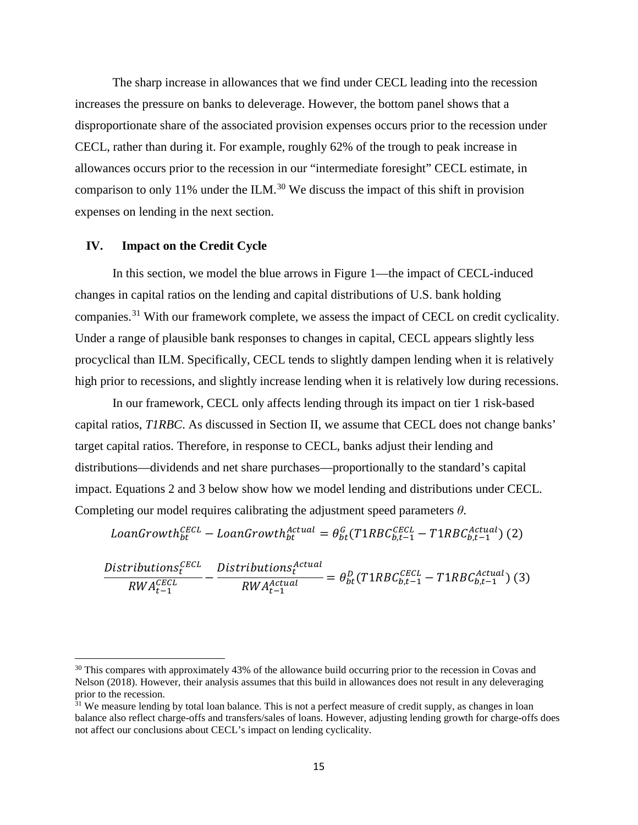The sharp increase in allowances that we find under CECL leading into the recession increases the pressure on banks to deleverage. However, the bottom panel shows that a disproportionate share of the associated provision expenses occurs prior to the recession under CECL, rather than during it. For example, roughly 62% of the trough to peak increase in allowances occurs prior to the recession in our "intermediate foresight" CECL estimate, in comparison to only 11% under the ILM.<sup>[30](#page-15-1)</sup> We discuss the impact of this shift in provision expenses on lending in the next section.

#### <span id="page-15-0"></span>**IV. Impact on the Credit Cycle**

l

In this section, we model the blue arrows in Figure 1—the impact of CECL-induced changes in capital ratios on the lending and capital distributions of U.S. bank holding companies.<sup>[31](#page-15-2)</sup> With our framework complete, we assess the impact of CECL on credit cyclicality. Under a range of plausible bank responses to changes in capital, CECL appears slightly less procyclical than ILM. Specifically, CECL tends to slightly dampen lending when it is relatively high prior to recessions, and slightly increase lending when it is relatively low during recessions.

In our framework, CECL only affects lending through its impact on tier 1 risk-based capital ratios, *T1RBC*. As discussed in Section [II,](#page-5-0) we assume that CECL does not change banks' target capital ratios. Therefore, in response to CECL, banks adjust their lending and distributions—dividends and net share purchases—proportionally to the standard's capital impact. Equations 2 and 3 below show how we model lending and distributions under CECL. Completing our model requires calibrating the adjustment speed parameters *θ*.

 $\textit{oanGrowth}_{bt}^{\textit{ECL}} - \textit{LoanGrowth}_{bt}^{\textit{Actual}} = \theta_{bt}^{\textit{G}}(\textit{T1RBC}_{b,t-1}^{\textit{ECL}} - \textit{T1RBC}_{b,t-1}^{\textit{Actual}}) \text{ (2)}$ 

$$
\frac{Distributions_t^{CECL}}{RWA_{t-1}^{CECL}} - \frac{Distributions_t^{Actual}}{RWA_{t-1}^{actual}} = \theta_{bt}^D (T1RBC_{b,t-1}^{CECL} - T1RBC_{b,t-1}^{Actual})
$$
(3)

<span id="page-15-1"></span><sup>&</sup>lt;sup>30</sup> This compares with approximately 43% of the allowance build occurring prior to the recession in Covas and Nelson (2018). However, their analysis assumes that this build in allowances does not result in any deleveraging prior to the recession.

<span id="page-15-2"></span> $31$  We measure lending by total loan balance. This is not a perfect measure of credit supply, as changes in loan balance also reflect charge-offs and transfers/sales of loans. However, adjusting lending growth for charge-offs does not affect our conclusions about CECL's impact on lending cyclicality.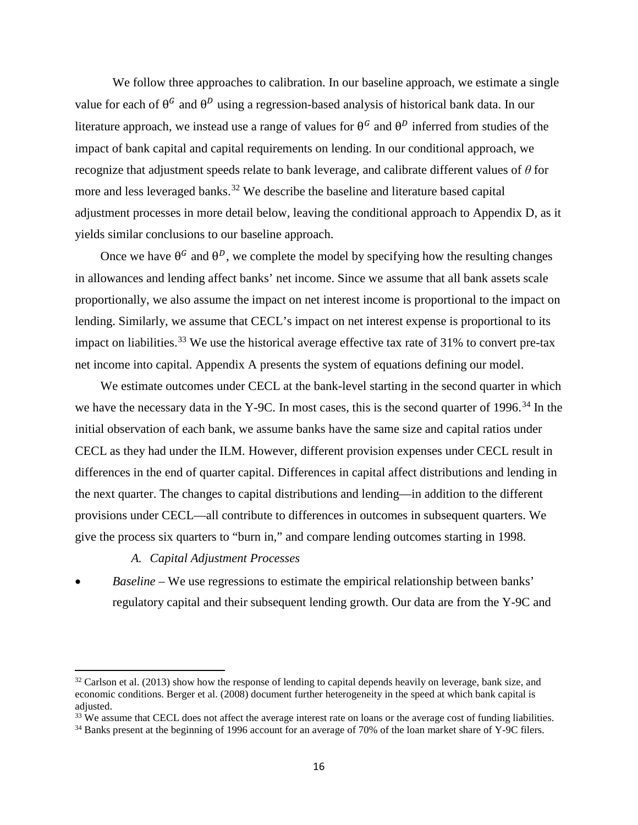We follow three approaches to calibration. In our baseline approach, we estimate a single value for each of  $\theta^G$  and  $\theta^D$  using a regression-based analysis of historical bank data. In our literature approach, we instead use a range of values for  $\theta^G$  and  $\theta^D$  inferred from studies of the impact of bank capital and capital requirements on lending. In our conditional approach, we recognize that adjustment speeds relate to bank leverage, and calibrate different values of *θ* for more and less leveraged banks.<sup>[32](#page-16-0)</sup> We describe the baseline and literature based capital adjustment processes in more detail below, leaving the conditional approach to Appendix D, as it yields similar conclusions to our baseline approach.

Once we have  $\theta^G$  and  $\theta^D$ , we complete the model by specifying how the resulting changes in allowances and lending affect banks' net income. Since we assume that all bank assets scale proportionally, we also assume the impact on net interest income is proportional to the impact on lending. Similarly, we assume that CECL's impact on net interest expense is proportional to its impact on liabilities.<sup>[33](#page-16-1)</sup> We use the historical average effective tax rate of  $31\%$  to convert pre-tax net income into capital. Appendix A presents the system of equations defining our model.

We estimate outcomes under CECL at the bank-level starting in the second quarter in which we have the necessary data in the Y-9C. In most cases, this is the second quarter of 1996.<sup>[34](#page-16-2)</sup> In the initial observation of each bank, we assume banks have the same size and capital ratios under CECL as they had under the ILM. However, different provision expenses under CECL result in differences in the end of quarter capital. Differences in capital affect distributions and lending in the next quarter. The changes to capital distributions and lending—in addition to the different provisions under CECL—all contribute to differences in outcomes in subsequent quarters. We give the process six quarters to "burn in," and compare lending outcomes starting in 1998.

*A. Capital Adjustment Processes*

 $\overline{\phantom{a}}$ 

• *Baseline –* We use regressions to estimate the empirical relationship between banks' regulatory capital and their subsequent lending growth. Our data are from the Y-9C and

<span id="page-16-0"></span> $32$  Carlson et al. (2013) show how the response of lending to capital depends heavily on leverage, bank size, and economic conditions. Berger et al. (2008) document further heterogeneity in the speed at which bank capital is adjusted.

<span id="page-16-1"></span><sup>&</sup>lt;sup>33</sup> We assume that CECL does not affect the average interest rate on loans or the average cost of funding liabilities.

<span id="page-16-2"></span><sup>&</sup>lt;sup>34</sup> Banks present at the beginning of 1996 account for an average of 70% of the loan market share of Y-9C filers.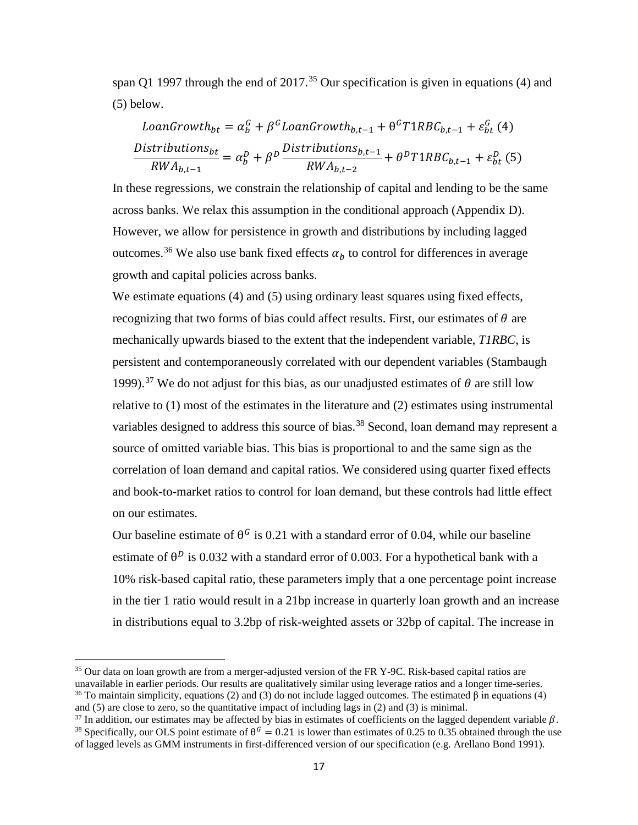span Q1 1997 through the end of  $2017<sup>35</sup>$  $2017<sup>35</sup>$  $2017<sup>35</sup>$  Our specification is given in equations (4) and (5) below.

$$
LoanGrowth_{bt} = \alpha_b^G + \beta^G LoanGrowth_{b,t-1} + \theta^G T1RBC_{b,t-1} + \varepsilon_{bt}^G
$$
 (4)  

$$
\frac{Distributions_{bt}}{RWA_{b,t-1}} = \alpha_b^D + \beta^D \frac{Distributions_{b,t-1}}{RWA_{b,t-2}} + \theta^D T1RBC_{b,t-1} + \varepsilon_{bt}^D
$$
 (5)

In these regressions, we constrain the relationship of capital and lending to be the same across banks. We relax this assumption in the conditional approach (Appendix D). However, we allow for persistence in growth and distributions by including lagged outcomes.<sup>[36](#page-17-1)</sup> We also use bank fixed effects  $\alpha_b$  to control for differences in average growth and capital policies across banks.

We estimate equations (4) and (5) using ordinary least squares using fixed effects, recognizing that two forms of bias could affect results. First, our estimates of  $\theta$  are mechanically upwards biased to the extent that the independent variable, *T1RBC*, is persistent and contemporaneously correlated with our dependent variables (Stambaugh 1999).<sup>[37](#page-17-2)</sup> We do not adjust for this bias, as our unadjusted estimates of  $\theta$  are still low relative to (1) most of the estimates in the literature and (2) estimates using instrumental variables designed to address this source of bias.<sup>[38](#page-17-3)</sup> Second, loan demand may represent a source of omitted variable bias. This bias is proportional to and the same sign as the correlation of loan demand and capital ratios. We considered using quarter fixed effects and book-to-market ratios to control for loan demand, but these controls had little effect on our estimates.

Our baseline estimate of  $\theta^G$  is 0.21 with a standard error of 0.04, while our baseline estimate of  $\theta^D$  is 0.032 with a standard error of 0.003. For a hypothetical bank with a 10% risk-based capital ratio, these parameters imply that a one percentage point increase in the tier 1 ratio would result in a 21bp increase in quarterly loan growth and an increase in distributions equal to 3.2bp of risk-weighted assets or 32bp of capital. The increase in

<span id="page-17-0"></span><sup>&</sup>lt;sup>35</sup> Our data on loan growth are from a merger-adjusted version of the FR Y-9C. Risk-based capital ratios are unavailable in earlier periods. Our results are qualitatively similar using leverage ratios and a longer time-series.

<span id="page-17-1"></span><sup>&</sup>lt;sup>36</sup> To maintain simplicity, equations (2) and (3) do not include lagged outcomes. The estimated β in equations (4) and (5) are close to zero, so the quantitative impact of including lags in (2) and (3) is minimal.<br><sup>37</sup> In addition, our estimates may be affected by bias in estimates of coefficients on the lagged dependent variable  $\beta$ 

<span id="page-17-3"></span><span id="page-17-2"></span><sup>&</sup>lt;sup>38</sup> Specifically, our OLS point estimate of  $\theta^G = 0.21$  is lower than estimates of 0.25 to 0.35 obtained through the use of lagged levels as GMM instruments in first-differenced version of our specification (e.g. Arellano Bond 1991).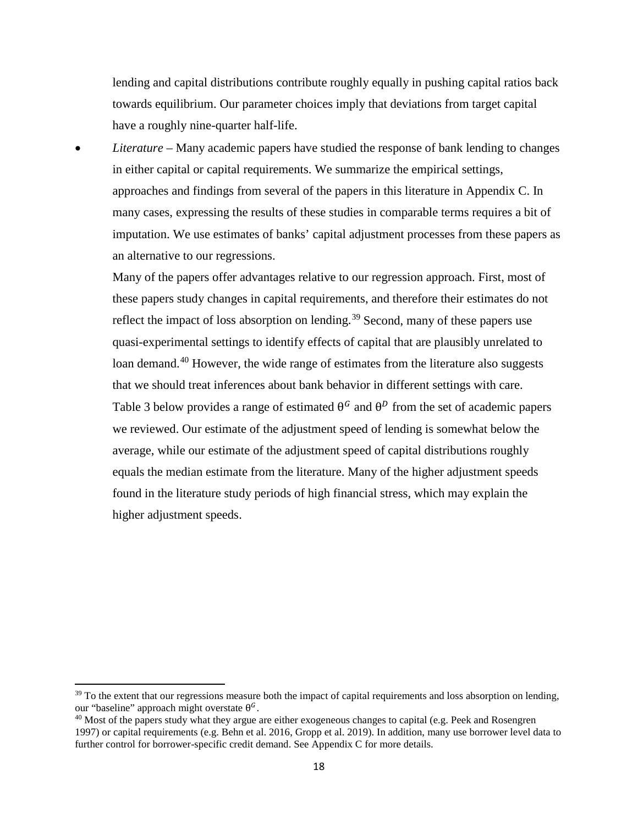lending and capital distributions contribute roughly equally in pushing capital ratios back towards equilibrium. Our parameter choices imply that deviations from target capital have a roughly nine-quarter half-life.

• *Literature* – Many academic papers have studied the response of bank lending to changes in either capital or capital requirements. We summarize the empirical settings, approaches and findings from several of the papers in this literature in Appendix C. In many cases, expressing the results of these studies in comparable terms requires a bit of imputation. We use estimates of banks' capital adjustment processes from these papers as an alternative to our regressions.

Many of the papers offer advantages relative to our regression approach. First, most of these papers study changes in capital requirements, and therefore their estimates do not reflect the impact of loss absorption on lending.<sup>[39](#page-18-0)</sup> Second, many of these papers use quasi-experimental settings to identify effects of capital that are plausibly unrelated to loan demand.<sup>[40](#page-18-1)</sup> However, the wide range of estimates from the literature also suggests that we should treat inferences about bank behavior in different settings with care. [Table 3](#page-19-0) below provides a range of estimated  $\theta^G$  and  $\theta^D$  from the set of academic papers we reviewed. Our estimate of the adjustment speed of lending is somewhat below the average, while our estimate of the adjustment speed of capital distributions roughly equals the median estimate from the literature. Many of the higher adjustment speeds found in the literature study periods of high financial stress, which may explain the higher adjustment speeds.

<span id="page-18-0"></span><sup>&</sup>lt;sup>39</sup> To the extent that our regressions measure both the impact of capital requirements and loss absorption on lending, our "baseline" approach might overstate  $\theta^G$ .

<span id="page-18-1"></span> $^{40}$  Most of the papers study what they argue are either exogeneous changes to capital (e.g. Peek and Rosengren 1997) or capital requirements (e.g. Behn et al. 2016, Gropp et al. 2019). In addition, many use borrower level data to further control for borrower-specific credit demand. See Appendix C for more details.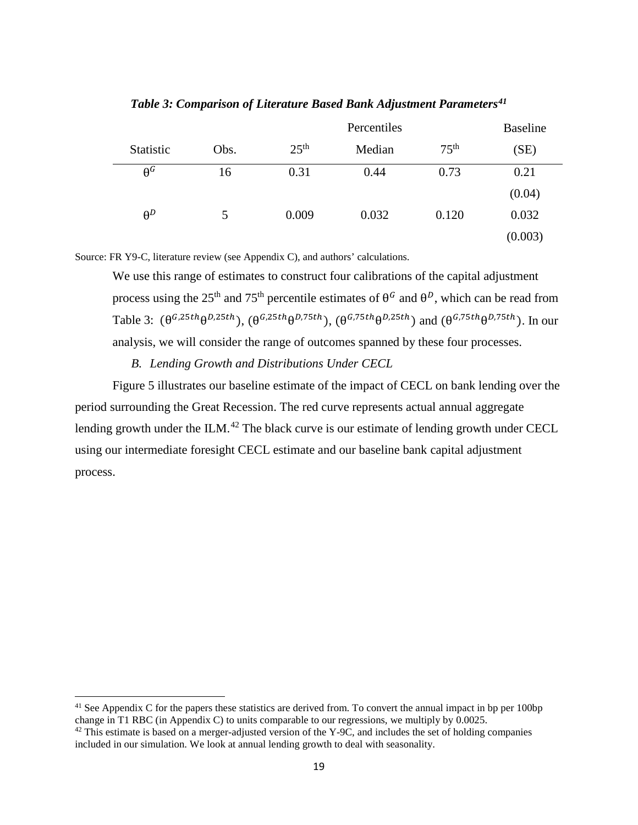<span id="page-19-0"></span>

|                       |      | Percentiles      |        |                  | <b>Baseline</b> |
|-----------------------|------|------------------|--------|------------------|-----------------|
| Statistic             | Obs. | 25 <sup>th</sup> | Median | 75 <sup>th</sup> | (SE)            |
| $\theta$ <sup>G</sup> | 16   | 0.31             | 0.44   | 0.73             | 0.21            |
|                       |      |                  |        |                  | (0.04)          |
| $\theta^D$            | 5    | 0.009            | 0.032  | 0.120            | 0.032           |
|                       |      |                  |        |                  | (0.003)         |

*Table 3: Comparison of Literature Based Bank Adjustment Parameters[41](#page-19-1)*

Source: FR Y9-C, literature review (see Appendix C), and authors' calculations.

We use this range of estimates to construct four calibrations of the capital adjustment process using the 25<sup>th</sup> and 75<sup>th</sup> percentile estimates of  $\theta^G$  and  $\theta^D$ , which can be read from [Table 3:](#page-19-0)  $(\theta^{G,25th}\theta^{D,25th})$ ,  $(\theta^{G,25th}\theta^{D,75th})$ ,  $(\theta^{G,75th}\theta^{D,25th})$  and  $(\theta^{G,75th}\theta^{D,75th})$ . In our analysis, we will consider the range of outcomes spanned by these four processes.

## *B. Lending Growth and Distributions Under CECL*

[Figure 5](#page-20-0) illustrates our baseline estimate of the impact of CECL on bank lending over the period surrounding the Great Recession. The red curve represents actual annual aggregate lending growth under the  $ILM.<sup>42</sup>$  $ILM.<sup>42</sup>$  $ILM.<sup>42</sup>$  The black curve is our estimate of lending growth under CECL using our intermediate foresight CECL estimate and our baseline bank capital adjustment process.

<span id="page-19-1"></span> $41$  See Appendix C for the papers these statistics are derived from. To convert the annual impact in bp per 100bp change in T1 RBC (in Appendix C) to units comparable to our regressions, we multiply by 0.0025.

<span id="page-19-2"></span> $42$  This estimate is based on a merger-adjusted version of the Y-9C, and includes the set of holding companies included in our simulation. We look at annual lending growth to deal with seasonality.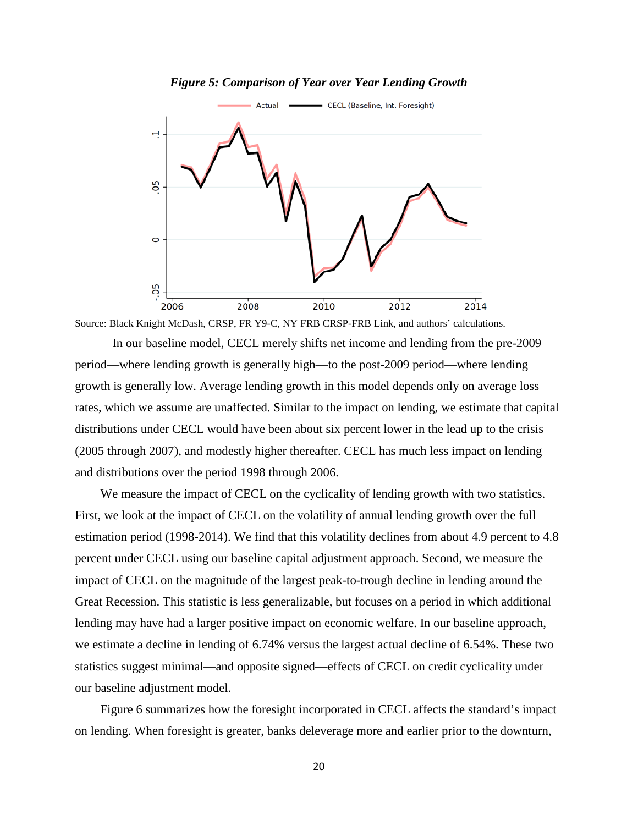### *Figure 5: Comparison of Year over Year Lending Growth*

<span id="page-20-0"></span>

Source: Black Knight McDash, CRSP, FR Y9-C, NY FRB CRSP-FRB Link, and authors' calculations.

In our baseline model, CECL merely shifts net income and lending from the pre-2009 period—where lending growth is generally high—to the post-2009 period—where lending growth is generally low. Average lending growth in this model depends only on average loss rates, which we assume are unaffected. Similar to the impact on lending, we estimate that capital distributions under CECL would have been about six percent lower in the lead up to the crisis (2005 through 2007), and modestly higher thereafter. CECL has much less impact on lending and distributions over the period 1998 through 2006.

We measure the impact of CECL on the cyclicality of lending growth with two statistics. First, we look at the impact of CECL on the volatility of annual lending growth over the full estimation period (1998-2014). We find that this volatility declines from about 4.9 percent to 4.8 percent under CECL using our baseline capital adjustment approach. Second, we measure the impact of CECL on the magnitude of the largest peak-to-trough decline in lending around the Great Recession. This statistic is less generalizable, but focuses on a period in which additional lending may have had a larger positive impact on economic welfare. In our baseline approach, we estimate a decline in lending of 6.74% versus the largest actual decline of 6.54%. These two statistics suggest minimal—and opposite signed—effects of CECL on credit cyclicality under our baseline adjustment model.

[Figure 6](#page-21-0) summarizes how the foresight incorporated in CECL affects the standard's impact on lending. When foresight is greater, banks deleverage more and earlier prior to the downturn,

20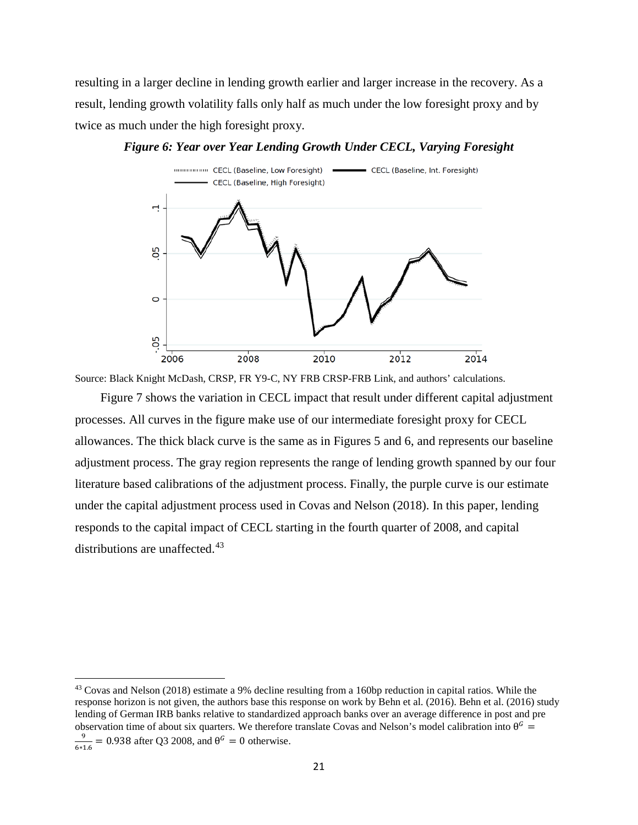resulting in a larger decline in lending growth earlier and larger increase in the recovery. As a result, lending growth volatility falls only half as much under the low foresight proxy and by twice as much under the high foresight proxy.

<span id="page-21-0"></span>



Source: Black Knight McDash, CRSP, FR Y9-C, NY FRB CRSP-FRB Link, and authors' calculations.

[Figure 7](#page-22-0) shows the variation in CECL impact that result under different capital adjustment processes. All curves in the figure make use of our intermediate foresight proxy for CECL allowances. The thick black curve is the same as in [Figures 5](#page-20-0) and 6, and represents our baseline adjustment process. The gray region represents the range of lending growth spanned by our four literature based calibrations of the adjustment process. Finally, the purple curve is our estimate under the capital adjustment process used in Covas and Nelson (2018). In this paper, lending responds to the capital impact of CECL starting in the fourth quarter of 2008, and capital distributions are unaffected.<sup>[43](#page-21-1)</sup>

<span id="page-21-1"></span><sup>&</sup>lt;sup>43</sup> Covas and Nelson (2018) estimate a 9% decline resulting from a 160bp reduction in capital ratios. While the response horizon is not given, the authors base this response on work by Behn et al. (2016). Behn et al. (2016) study lending of German IRB banks relative to standardized approach banks over an average difference in post and pre observation time of about six quarters. We therefore translate Covas and Nelson's model calibration into  $\theta^G$  =  $\frac{9}{6*1.6}$  = 0.938 after Q3 2008, and  $\theta^G = 0$  otherwise.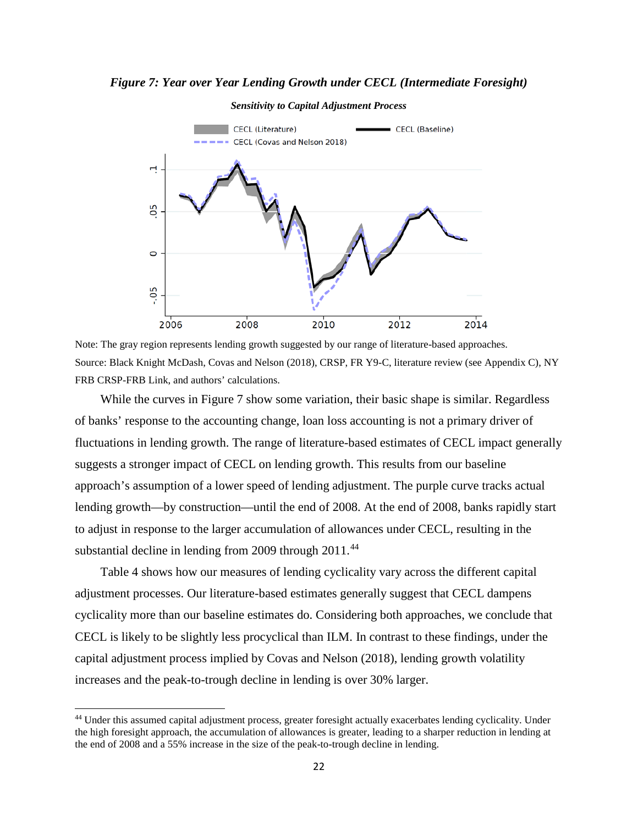<span id="page-22-0"></span>*Figure 7: Year over Year Lending Growth under CECL (Intermediate Foresight)*

#### *Sensitivity to Capital Adjustment Process*



Note: The gray region represents lending growth suggested by our range of literature-based approaches. Source: Black Knight McDash, Covas and Nelson (2018), CRSP, FR Y9-C, literature review (see Appendix C), NY FRB CRSP-FRB Link, and authors' calculations.

While the curves in [Figure 7](#page-22-0) show some variation, their basic shape is similar. Regardless of banks' response to the accounting change, loan loss accounting is not a primary driver of fluctuations in lending growth. The range of literature-based estimates of CECL impact generally suggests a stronger impact of CECL on lending growth. This results from our baseline approach's assumption of a lower speed of lending adjustment. The purple curve tracks actual lending growth—by construction—until the end of 2008. At the end of 2008, banks rapidly start to adjust in response to the larger accumulation of allowances under CECL, resulting in the substantial decline in lending from 2009 through 2011.<sup>[44](#page-22-1)</sup>

[Table 4](#page-23-1) shows how our measures of lending cyclicality vary across the different capital adjustment processes. Our literature-based estimates generally suggest that CECL dampens cyclicality more than our baseline estimates do. Considering both approaches, we conclude that CECL is likely to be slightly less procyclical than ILM. In contrast to these findings, under the capital adjustment process implied by Covas and Nelson (2018), lending growth volatility increases and the peak-to-trough decline in lending is over 30% larger.

<span id="page-22-1"></span><sup>&</sup>lt;sup>44</sup> Under this assumed capital adjustment process, greater foresight actually exacerbates lending cyclicality. Under the high foresight approach, the accumulation of allowances is greater, leading to a sharper reduction in lending at the end of 2008 and a 55% increase in the size of the peak-to-trough decline in lending.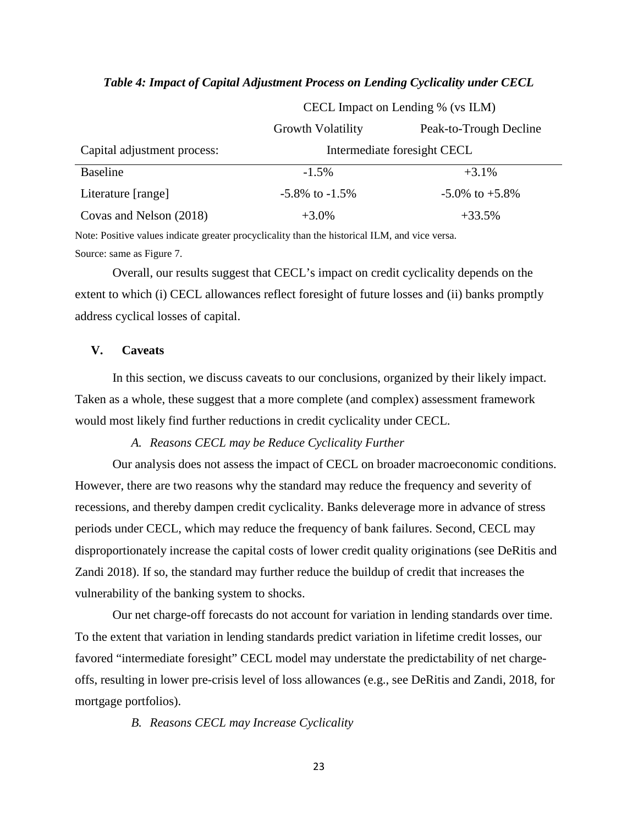|                             | Growth Volatility    | Peak-to-Trough Decline      |
|-----------------------------|----------------------|-----------------------------|
| Capital adjustment process: |                      | Intermediate foresight CECL |
| <b>Baseline</b>             | $-1.5\%$             | $+3.1\%$                    |
| Literature [range]          | $-5.8\%$ to $-1.5\%$ | $-5.0\%$ to $+5.8\%$        |
| Covas and Nelson (2018)     | $+3.0\%$             | $+33.5%$                    |

#### <span id="page-23-1"></span>*Table 4: Impact of Capital Adjustment Process on Lending Cyclicality under CECL*

CECL Impact on Lending % (vs ILM)

Note: Positive values indicate greater procyclicality than the historical ILM, and vice versa. Source: same as [Figure 7.](#page-22-0)

Overall, our results suggest that CECL's impact on credit cyclicality depends on the extent to which (i) CECL allowances reflect foresight of future losses and (ii) banks promptly address cyclical losses of capital.

## <span id="page-23-0"></span>**V. Caveats**

In this section, we discuss caveats to our conclusions, organized by their likely impact. Taken as a whole, these suggest that a more complete (and complex) assessment framework would most likely find further reductions in credit cyclicality under CECL.

## *A. Reasons CECL may be Reduce Cyclicality Further*

Our analysis does not assess the impact of CECL on broader macroeconomic conditions. However, there are two reasons why the standard may reduce the frequency and severity of recessions, and thereby dampen credit cyclicality. Banks deleverage more in advance of stress periods under CECL, which may reduce the frequency of bank failures. Second, CECL may disproportionately increase the capital costs of lower credit quality originations (see DeRitis and Zandi 2018). If so, the standard may further reduce the buildup of credit that increases the vulnerability of the banking system to shocks.

Our net charge-off forecasts do not account for variation in lending standards over time. To the extent that variation in lending standards predict variation in lifetime credit losses, our favored "intermediate foresight" CECL model may understate the predictability of net chargeoffs, resulting in lower pre-crisis level of loss allowances (e.g., see DeRitis and Zandi, 2018, for mortgage portfolios).

*B. Reasons CECL may Increase Cyclicality*

23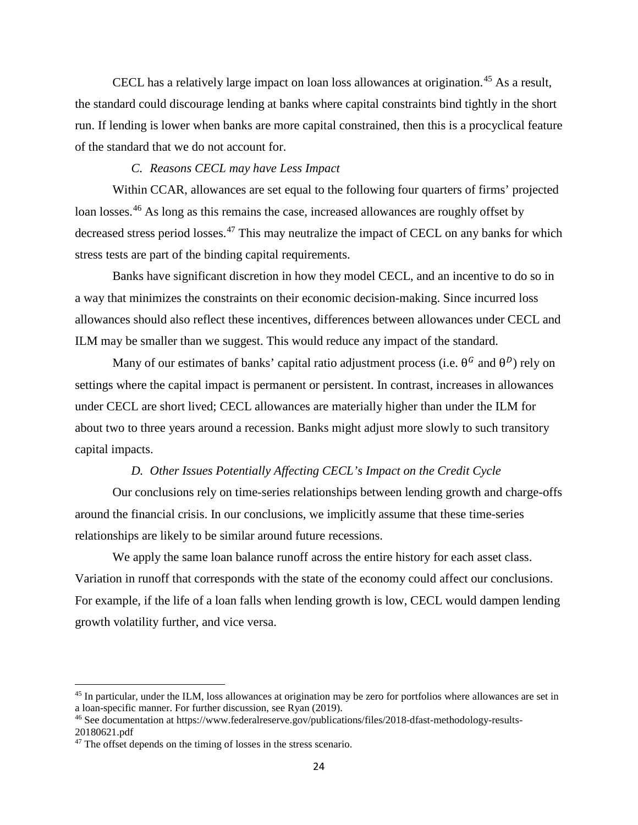CECL has a relatively large impact on loan loss allowances at origination.[45](#page-24-0) As a result, the standard could discourage lending at banks where capital constraints bind tightly in the short run. If lending is lower when banks are more capital constrained, then this is a procyclical feature of the standard that we do not account for.

## *C. Reasons CECL may have Less Impact*

Within CCAR, allowances are set equal to the following four quarters of firms' projected loan losses.<sup>[46](#page-24-1)</sup> As long as this remains the case, increased allowances are roughly offset by decreased stress period losses.<sup>[47](#page-24-2)</sup> This may neutralize the impact of CECL on any banks for which stress tests are part of the binding capital requirements.

Banks have significant discretion in how they model CECL, and an incentive to do so in a way that minimizes the constraints on their economic decision-making. Since incurred loss allowances should also reflect these incentives, differences between allowances under CECL and ILM may be smaller than we suggest. This would reduce any impact of the standard.

Many of our estimates of banks' capital ratio adjustment process (i.e.  $\theta^G$  and  $\theta^D$ ) rely on settings where the capital impact is permanent or persistent. In contrast, increases in allowances under CECL are short lived; CECL allowances are materially higher than under the ILM for about two to three years around a recession. Banks might adjust more slowly to such transitory capital impacts.

## *D. Other Issues Potentially Affecting CECL's Impact on the Credit Cycle*

Our conclusions rely on time-series relationships between lending growth and charge-offs around the financial crisis. In our conclusions, we implicitly assume that these time-series relationships are likely to be similar around future recessions.

We apply the same loan balance runoff across the entire history for each asset class. Variation in runoff that corresponds with the state of the economy could affect our conclusions. For example, if the life of a loan falls when lending growth is low, CECL would dampen lending growth volatility further, and vice versa.

<span id="page-24-0"></span><sup>45</sup> In particular, under the ILM, loss allowances at origination may be zero for portfolios where allowances are set in a loan-specific manner. For further discussion, see Ryan (2019).

<span id="page-24-1"></span><sup>46</sup> See documentation at https://www.federalreserve.gov/publications/files/2018-dfast-methodology-results-20180621.pdf

<span id="page-24-2"></span><sup>&</sup>lt;sup>47</sup> The offset depends on the timing of losses in the stress scenario.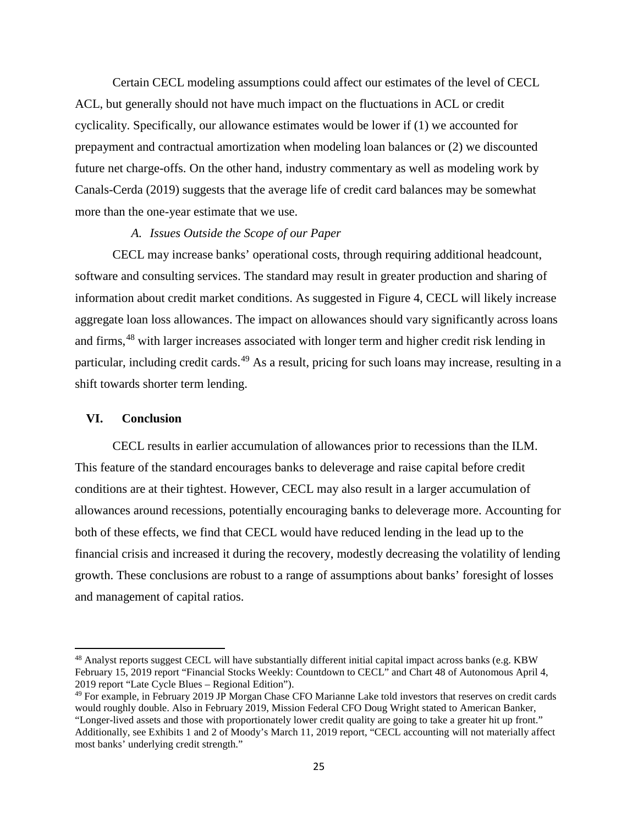Certain CECL modeling assumptions could affect our estimates of the level of CECL ACL, but generally should not have much impact on the fluctuations in ACL or credit cyclicality. Specifically, our allowance estimates would be lower if (1) we accounted for prepayment and contractual amortization when modeling loan balances or (2) we discounted future net charge-offs. On the other hand, industry commentary as well as modeling work by Canals-Cerda (2019) suggests that the average life of credit card balances may be somewhat more than the one-year estimate that we use.

#### *A. Issues Outside the Scope of our Paper*

CECL may increase banks' operational costs, through requiring additional headcount, software and consulting services. The standard may result in greater production and sharing of information about credit market conditions. As suggested in [Figure 4,](#page-14-0) CECL will likely increase aggregate loan loss allowances. The impact on allowances should vary significantly across loans and firms,<sup>[48](#page-25-1)</sup> with larger increases associated with longer term and higher credit risk lending in particular, including credit cards.<sup>[49](#page-25-2)</sup> As a result, pricing for such loans may increase, resulting in a shift towards shorter term lending.

## <span id="page-25-0"></span>**VI. Conclusion**

 $\overline{\phantom{a}}$ 

CECL results in earlier accumulation of allowances prior to recessions than the ILM. This feature of the standard encourages banks to deleverage and raise capital before credit conditions are at their tightest. However, CECL may also result in a larger accumulation of allowances around recessions, potentially encouraging banks to deleverage more. Accounting for both of these effects, we find that CECL would have reduced lending in the lead up to the financial crisis and increased it during the recovery, modestly decreasing the volatility of lending growth. These conclusions are robust to a range of assumptions about banks' foresight of losses and management of capital ratios.

<span id="page-25-1"></span><sup>48</sup> Analyst reports suggest CECL will have substantially different initial capital impact across banks (e.g. KBW February 15, 2019 report "Financial Stocks Weekly: Countdown to CECL" and Chart 48 of Autonomous April 4, 2019 report "Late Cycle Blues – Regional Edition").

<span id="page-25-2"></span><sup>49</sup> For example, in February 2019 JP Morgan Chase CFO Marianne Lake told investors that reserves on credit cards would roughly double. Also in February 2019, Mission Federal CFO Doug Wright stated to American Banker, "Longer-lived assets and those with proportionately lower credit quality are going to take a greater hit up front." Additionally, see Exhibits 1 and 2 of Moody's March 11, 2019 report, "CECL accounting will not materially affect most banks' underlying credit strength."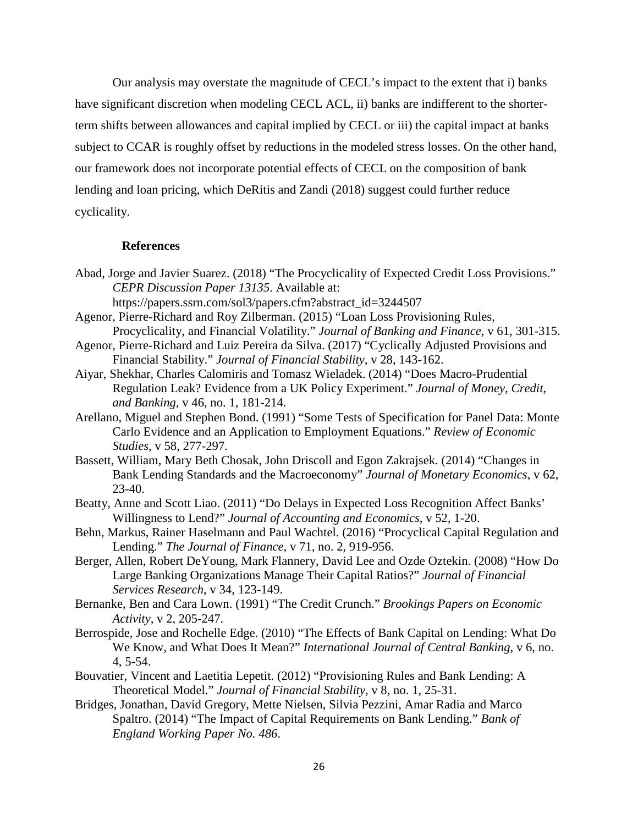Our analysis may overstate the magnitude of CECL's impact to the extent that i) banks have significant discretion when modeling CECL ACL, ii) banks are indifferent to the shorterterm shifts between allowances and capital implied by CECL or iii) the capital impact at banks subject to CCAR is roughly offset by reductions in the modeled stress losses. On the other hand, our framework does not incorporate potential effects of CECL on the composition of bank lending and loan pricing, which DeRitis and Zandi (2018) suggest could further reduce cyclicality.

### **References**

- Abad, Jorge and Javier Suarez. (2018) "The Procyclicality of Expected Credit Loss Provisions." *CEPR Discussion Paper 13135*. Available at: https://papers.ssrn.com/sol3/papers.cfm?abstract\_id=3244507
- Agenor, Pierre-Richard and Roy Zilberman. (2015) "Loan Loss Provisioning Rules, Procyclicality, and Financial Volatility." *Journal of Banking and Finance*, v 61, 301-315.
- Agenor, Pierre-Richard and Luiz Pereira da Silva. (2017) "Cyclically Adjusted Provisions and Financial Stability." *Journal of Financial Stability*, v 28, 143-162.
- Aiyar, Shekhar, Charles Calomiris and Tomasz Wieladek. (2014) "Does Macro-Prudential Regulation Leak? Evidence from a UK Policy Experiment." *Journal of Money, Credit, and Banking*, v 46, no. 1, 181-214.
- Arellano, Miguel and Stephen Bond. (1991) "Some Tests of Specification for Panel Data: Monte Carlo Evidence and an Application to Employment Equations." *Review of Economic Studies*, v 58, 277-297.
- Bassett, William, Mary Beth Chosak, John Driscoll and Egon Zakrajsek. (2014) "Changes in Bank Lending Standards and the Macroeconomy" *Journal of Monetary Economics*, v 62,  $23-40.$
- Beatty, Anne and Scott Liao. (2011) "Do Delays in Expected Loss Recognition Affect Banks' Willingness to Lend?" *Journal of Accounting and Economics*, v 52, 1-20.
- Behn, Markus, Rainer Haselmann and Paul Wachtel. (2016) "Procyclical Capital Regulation and Lending." *The Journal of Finance*, v 71, no. 2, 919-956.
- Berger, Allen, Robert DeYoung, Mark Flannery, David Lee and Ozde Oztekin. (2008) "How Do Large Banking Organizations Manage Their Capital Ratios?" *Journal of Financial Services Research*, v 34, 123-149.
- Bernanke, Ben and Cara Lown. (1991) "The Credit Crunch." *Brookings Papers on Economic Activity*, v 2, 205-247.
- Berrospide, Jose and Rochelle Edge. (2010) "The Effects of Bank Capital on Lending: What Do We Know, and What Does It Mean?" *International Journal of Central Banking*, v 6, no. 4, 5-54.
- Bouvatier, Vincent and Laetitia Lepetit. (2012) "Provisioning Rules and Bank Lending: A Theoretical Model." *Journal of Financial Stability*, v 8, no. 1, 25-31.
- Bridges, Jonathan, David Gregory, Mette Nielsen, Silvia Pezzini, Amar Radia and Marco Spaltro. (2014) "The Impact of Capital Requirements on Bank Lending." *Bank of England Working Paper No. 486*.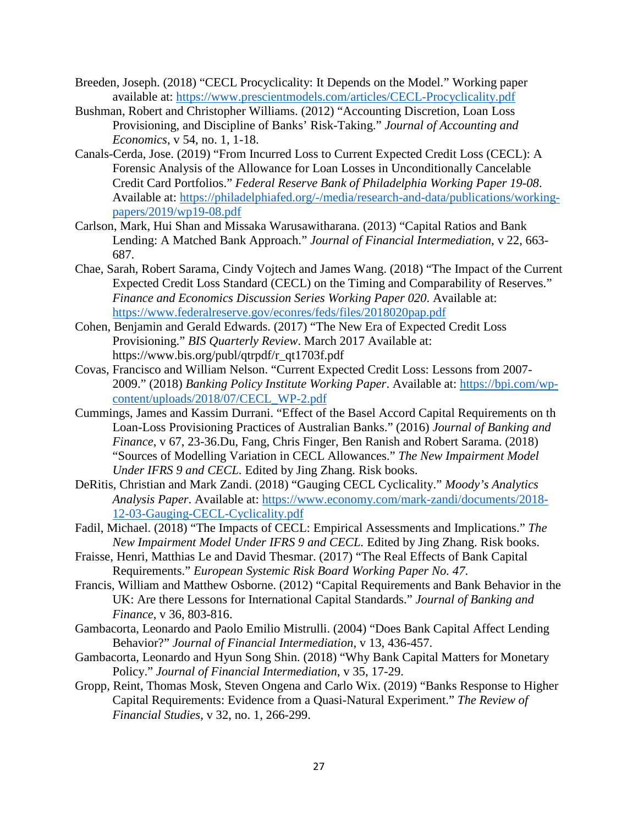- Breeden, Joseph. (2018) "CECL Procyclicality: It Depends on the Model." Working paper available at:<https://www.prescientmodels.com/articles/CECL-Procyclicality.pdf>
- Bushman, Robert and Christopher Williams. (2012) "Accounting Discretion, Loan Loss Provisioning, and Discipline of Banks' Risk-Taking." *Journal of Accounting and Economics*, v 54, no. 1, 1-18.
- Canals-Cerda, Jose. (2019) "From Incurred Loss to Current Expected Credit Loss (CECL): A Forensic Analysis of the Allowance for Loan Losses in Unconditionally Cancelable Credit Card Portfolios." *Federal Reserve Bank of Philadelphia Working Paper 19-08*. Available at: [https://philadelphiafed.org/-/media/research-and-data/publications/working](https://philadelphiafed.org/-/media/research-and-data/publications/working-papers/2019/wp19-08.pdf)[papers/2019/wp19-08.pdf](https://philadelphiafed.org/-/media/research-and-data/publications/working-papers/2019/wp19-08.pdf)
- Carlson, Mark, Hui Shan and Missaka Warusawitharana. (2013) "Capital Ratios and Bank Lending: A Matched Bank Approach." *Journal of Financial Intermediation*, v 22, 663- 687.
- Chae, Sarah, Robert Sarama, Cindy Vojtech and James Wang. (2018) "The Impact of the Current Expected Credit Loss Standard (CECL) on the Timing and Comparability of Reserves." *Finance and Economics Discussion Series Working Paper 020*. Available at: <https://www.federalreserve.gov/econres/feds/files/2018020pap.pdf>
- Cohen, Benjamin and Gerald Edwards. (2017) "The New Era of Expected Credit Loss Provisioning." *BIS Quarterly Review*. March 2017 Available at: https://www.bis.org/publ/qtrpdf/r\_qt1703f.pdf
- Covas, Francisco and William Nelson. "Current Expected Credit Loss: Lessons from 2007- 2009." (2018) *Banking Policy Institute Working Paper*. Available at: [https://bpi.com/wp](https://bpi.com/wp-content/uploads/2018/07/CECL_WP-2.pdf)[content/uploads/2018/07/CECL\\_WP-2.pdf](https://bpi.com/wp-content/uploads/2018/07/CECL_WP-2.pdf)
- Cummings, James and Kassim Durrani. "Effect of the Basel Accord Capital Requirements on th Loan-Loss Provisioning Practices of Australian Banks." (2016) *Journal of Banking and Finance*, v 67, 23-36.Du, Fang, Chris Finger, Ben Ranish and Robert Sarama. (2018) "Sources of Modelling Variation in CECL Allowances." *The New Impairment Model Under IFRS 9 and CECL.* Edited by Jing Zhang. Risk books.
- DeRitis, Christian and Mark Zandi. (2018) "Gauging CECL Cyclicality." *Moody's Analytics Analysis Paper*. Available at: [https://www.economy.com/mark-zandi/documents/2018-](https://www.economy.com/mark-zandi/documents/2018-12-03-Gauging-CECL-Cyclicality.pdf) [12-03-Gauging-CECL-Cyclicality.pdf](https://www.economy.com/mark-zandi/documents/2018-12-03-Gauging-CECL-Cyclicality.pdf)
- Fadil, Michael. (2018) "The Impacts of CECL: Empirical Assessments and Implications." *The New Impairment Model Under IFRS 9 and CECL.* Edited by Jing Zhang. Risk books.
- Fraisse, Henri, Matthias Le and David Thesmar. (2017) "The Real Effects of Bank Capital Requirements." *European Systemic Risk Board Working Paper No. 47*.
- Francis, William and Matthew Osborne. (2012) "Capital Requirements and Bank Behavior in the UK: Are there Lessons for International Capital Standards." *Journal of Banking and Finance*, v 36, 803-816.
- Gambacorta, Leonardo and Paolo Emilio Mistrulli. (2004) "Does Bank Capital Affect Lending Behavior?" *Journal of Financial Intermediation*, v 13, 436-457.
- Gambacorta, Leonardo and Hyun Song Shin. (2018) "Why Bank Capital Matters for Monetary Policy." *Journal of Financial Intermediation*, v 35, 17-29.
- Gropp, Reint, Thomas Mosk, Steven Ongena and Carlo Wix. (2019) "Banks Response to Higher Capital Requirements: Evidence from a Quasi-Natural Experiment." *The Review of Financial Studies*, v 32, no. 1, 266-299.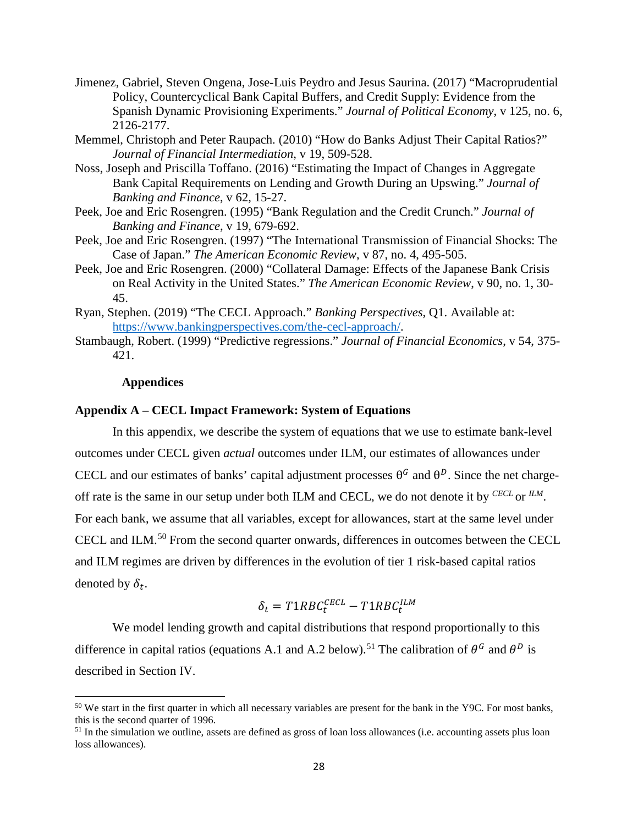- Jimenez, Gabriel, Steven Ongena, Jose-Luis Peydro and Jesus Saurina. (2017) "Macroprudential Policy, Countercyclical Bank Capital Buffers, and Credit Supply: Evidence from the Spanish Dynamic Provisioning Experiments." *Journal of Political Economy*, v 125, no. 6, 2126-2177.
- Memmel, Christoph and Peter Raupach. (2010) "How do Banks Adjust Their Capital Ratios?" *Journal of Financial Intermediation*, v 19, 509-528.
- Noss, Joseph and Priscilla Toffano. (2016) "Estimating the Impact of Changes in Aggregate Bank Capital Requirements on Lending and Growth During an Upswing." *Journal of Banking and Finance*, v 62, 15-27.
- Peek, Joe and Eric Rosengren. (1995) "Bank Regulation and the Credit Crunch." *Journal of Banking and Finance*, v 19, 679-692.
- Peek, Joe and Eric Rosengren. (1997) "The International Transmission of Financial Shocks: The Case of Japan." *The American Economic Review*, v 87, no. 4, 495-505.
- Peek, Joe and Eric Rosengren. (2000) "Collateral Damage: Effects of the Japanese Bank Crisis on Real Activity in the United States." *The American Economic Review*, v 90, no. 1, 30- 45.
- Ryan, Stephen. (2019) "The CECL Approach." *Banking Perspectives*, Q1. Available at: [https://www.bankingperspectives.com/the-cecl-approach/.](https://www.bankingperspectives.com/the-cecl-approach/)
- Stambaugh, Robert. (1999) "Predictive regressions." *Journal of Financial Economics*, v 54, 375- 421.

## **Appendices**

 $\overline{\phantom{a}}$ 

### **Appendix A – CECL Impact Framework: System of Equations**

In this appendix, we describe the system of equations that we use to estimate bank-level outcomes under CECL given *actual* outcomes under ILM, our estimates of allowances under CECL and our estimates of banks' capital adjustment processes  $\theta^G$  and  $\theta^D$ . Since the net chargeoff rate is the same in our setup under both ILM and CECL, we do not denote it by *CECL* or *ILM*. For each bank, we assume that all variables, except for allowances, start at the same level under CECL and ILM. [50](#page-28-0) From the second quarter onwards, differences in outcomes between the CECL and ILM regimes are driven by differences in the evolution of tier 1 risk-based capital ratios denoted by  $\delta_t$ .

$$
\delta_t = T1RBC_t^{CECL} - T1RBC_t^{ILM}
$$

We model lending growth and capital distributions that respond proportionally to this difference in capital ratios (equations A.1 and A.2 below).<sup>[51](#page-28-1)</sup> The calibration of  $\theta^G$  and  $\theta^D$  is described in Section [IV.](#page-15-0)

<span id="page-28-0"></span> $50$  We start in the first quarter in which all necessary variables are present for the bank in the Y9C. For most banks, this is the second quarter of 1996.

<span id="page-28-1"></span> $51$  In the simulation we outline, assets are defined as gross of loan loss allowances (i.e. accounting assets plus loan loss allowances).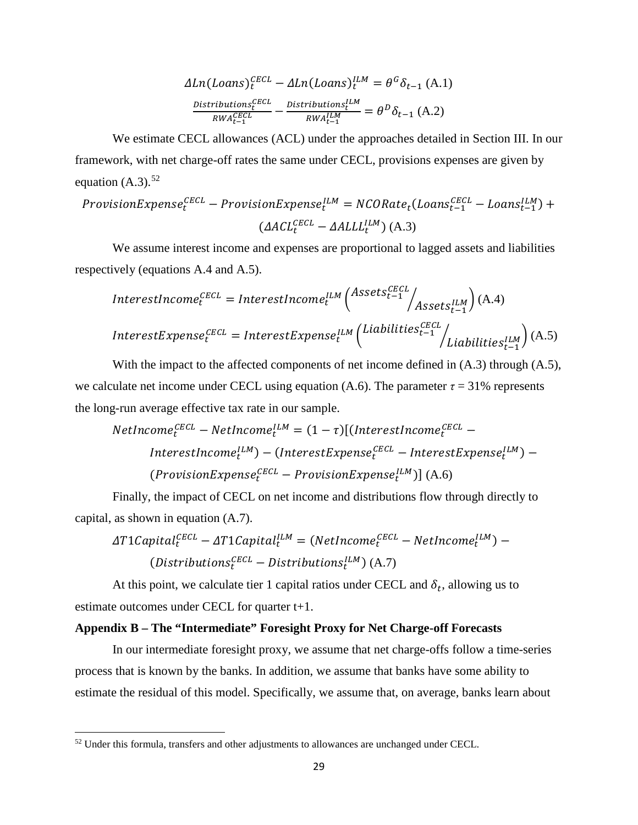$$
\Delta Ln(Loans)^{ECL}_{t} - \Delta Ln(Loans)^{LIM}_{t} = \theta^{G} \delta_{t-1} (A.1)
$$

$$
\frac{Distributions^{ECL}_{t}}{RWA^{ECL}_{t-1}} - \frac{Distributions^{LIM}_{t}}{RWA^{LIM}_{t-1}} = \theta^{D} \delta_{t-1} (A.2)
$$

We estimate CECL allowances (ACL) under the approaches detailed in Section [III.](#page-6-0) In our framework, with net charge-off rates the same under CECL, provisions expenses are given by equation  $(A.3)$ .<sup>[52](#page-29-0)</sup>

$$
ProvisionExpense_t^{CECL} - ProvisionExpense_t^{ILM} = NCORate_t (Loans_{t-1}^{CECL} - Loans_{t-1}^{ILM}) +
$$

$$
(AACL_t^{CECL} - AALLL_t^{ILM})(A.3)
$$

We assume interest income and expenses are proportional to lagged assets and liabilities respectively (equations A.4 and A.5).

 = � −1 −1 � � (A.4) <sup>=</sup> � −1 −1 � � (A.5)

 $= -$ 

With the impact to the affected components of net income defined in  $(A.3)$  through  $(A.5)$ , we calculate net income under CECL using equation (A.6). The parameter  $\tau = 31\%$  represents the long-run average effective tax rate in our sample.

NetIncome<sub>t</sub><sup>CECL</sup> – NetIncome<sub>t</sub><sup>ILM</sup> = 
$$
(1 - \tau)[(InterestIncome_{t}^{ECL} - \nInterestIncome_{t}^{ILM}) - (InterestExpresse_{t}^{ECL} - \nInterestExpresse_{t}^{ILM}) - (ProvisionExpresse_{t}^{ECL} - \nPreviousE \nxpense_{t}^{ILM})](A.6)
$$

Finally, the impact of CECL on net income and distributions flow through directly to capital, as shown in equation (A.7).

$$
\Delta T1 Capital_t^{CECL} - \Delta T1 Capital_t^{ILM} = (NetIncome_t^{CECL} - NetIncome_t^{ILM}) - (Distributions_t^{CECL} - Distributions_t^{ILM})(A.7)
$$

At this point, we calculate tier 1 capital ratios under CECL and  $\delta_t$ , allowing us to estimate outcomes under CECL for quarter t+1.

#### **Appendix B – The "Intermediate" Foresight Proxy for Net Charge-off Forecasts**

In our intermediate foresight proxy, we assume that net charge-offs follow a time-series process that is known by the banks. In addition, we assume that banks have some ability to estimate the residual of this model. Specifically, we assume that, on average, banks learn about

<span id="page-29-0"></span><sup>&</sup>lt;sup>52</sup> Under this formula, transfers and other adjustments to allowances are unchanged under CECL.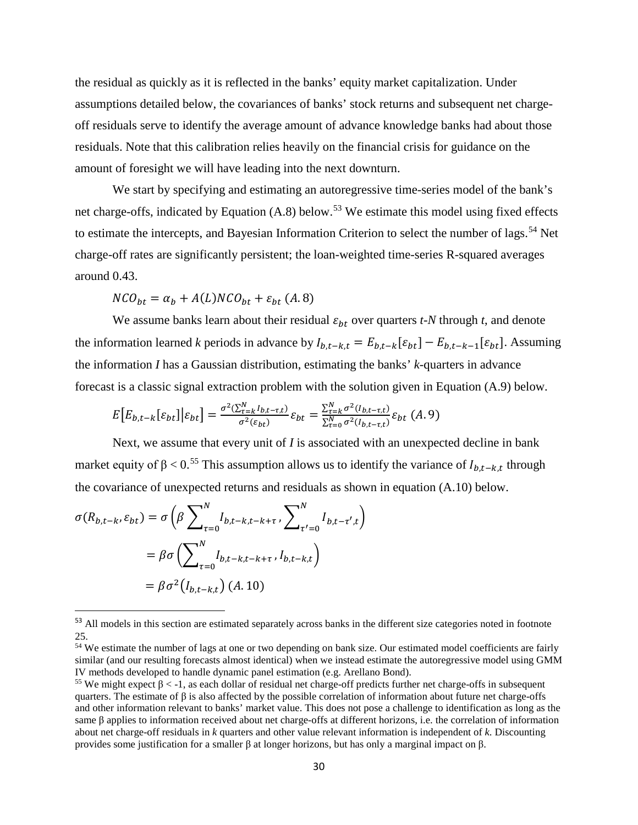the residual as quickly as it is reflected in the banks' equity market capitalization. Under assumptions detailed below, the covariances of banks' stock returns and subsequent net chargeoff residuals serve to identify the average amount of advance knowledge banks had about those residuals. Note that this calibration relies heavily on the financial crisis for guidance on the amount of foresight we will have leading into the next downturn.

We start by specifying and estimating an autoregressive time-series model of the bank's net charge-offs, indicated by Equation (A.8) below.<sup>[53](#page-30-0)</sup> We estimate this model using fixed effects to estimate the intercepts, and Bayesian Information Criterion to select the number of lags.<sup>[54](#page-30-1)</sup> Net charge-off rates are significantly persistent; the loan-weighted time-series R-squared averages around 0.43.

$$
NCO_{bt} = \alpha_b + A(L)NCO_{bt} + \varepsilon_{bt} (A.8)
$$

We assume banks learn about their residual  $\varepsilon_{bt}$  over quarters *t*-*N* through *t*, and denote the information learned *k* periods in advance by  $I_{b,t-k,t} = E_{b,t-k}[\varepsilon_{bt}] - E_{b,t-k-1}[\varepsilon_{bt}]$ . Assuming the information *I* has a Gaussian distribution, estimating the banks' *k*-quarters in advance forecast is a classic signal extraction problem with the solution given in Equation (A.9) below.

$$
E\left[E_{b,t-k}[\varepsilon_{bt}]\Big|\varepsilon_{bt}\right] = \frac{\sigma^2(\sum_{\tau=k}^N l_{b,t-\tau,t})}{\sigma^2(\varepsilon_{bt})}\varepsilon_{bt} = \frac{\sum_{\tau=k}^N \sigma^2(l_{b,t-\tau,t})}{\sum_{\tau=0}^N \sigma^2(l_{b,t-\tau,t})}\varepsilon_{bt}
$$
(A. 9)

Next, we assume that every unit of *I* is associated with an unexpected decline in bank market equity of  $\beta$  < 0.<sup>[55](#page-30-2)</sup> This assumption allows us to identify the variance of  $I_{b,t-k,t}$  through the covariance of unexpected returns and residuals as shown in equation (A.10) below.

$$
\sigma(R_{b,t-k}, \varepsilon_{bt}) = \sigma\left(\beta \sum_{\tau=0}^{N} I_{b,t-k,t-k+\tau}, \sum_{\tau'=0}^{N} I_{b,t-\tau',t}\right)
$$

$$
= \beta \sigma\left(\sum_{\tau=0}^{N} I_{b,t-k,t-k+\tau}, I_{b,t-k,t}\right)
$$

$$
= \beta \sigma^2(I_{b,t-k,t}) \ (A. 10)
$$

<span id="page-30-0"></span><sup>&</sup>lt;sup>53</sup> All models in this section are estimated separately across banks in the different size categories noted in footnote [25.](#page-12-3)

<span id="page-30-1"></span><sup>54</sup> We estimate the number of lags at one or two depending on bank size. Our estimated model coefficients are fairly similar (and our resulting forecasts almost identical) when we instead estimate the autoregressive model using GMM IV methods developed to handle dynamic panel estimation (e.g. Arellano Bond).

<span id="page-30-2"></span><sup>&</sup>lt;sup>55</sup> We might expect  $β < -1$ , as each dollar of residual net charge-off predicts further net charge-offs in subsequent quarters. The estimate of  $\beta$  is also affected by the possible correlation of information about future net charge-offs and other information relevant to banks' market value. This does not pose a challenge to identification as long as the same β applies to information received about net charge-offs at different horizons, i.e. the correlation of information about net charge-off residuals in *k* quarters and other value relevant information is independent of *k*. Discounting provides some justification for a smaller β at longer horizons, but has only a marginal impact on β.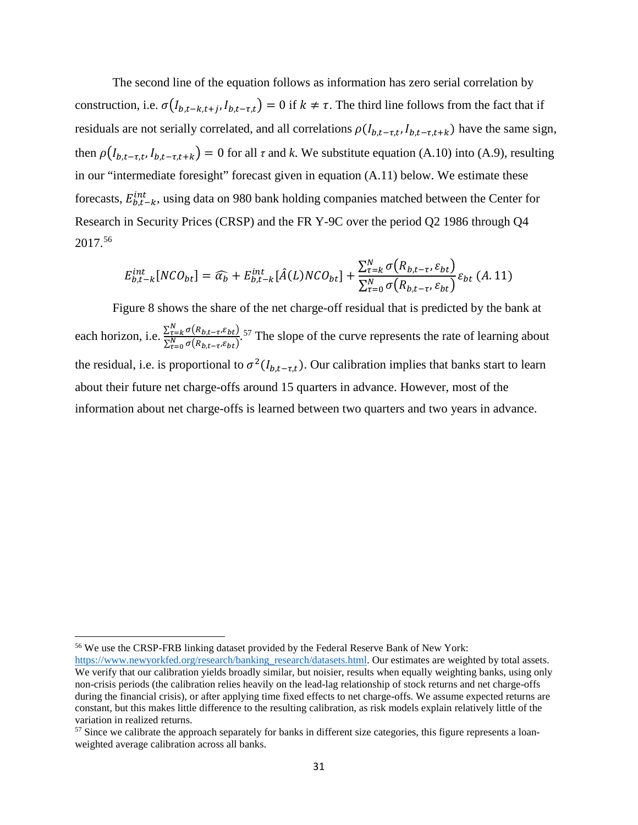The second line of the equation follows as information has zero serial correlation by construction, i.e.  $\sigma(I_{b,t-k,t+j}, I_{b,t-\tau,t}) = 0$  if  $k \neq \tau$ . The third line follows from the fact that if residuals are not serially correlated, and all correlations  $\rho(I_{b,t-\tau,t}, I_{b,t-\tau,t+k})$  have the same sign, then  $\rho(I_{b,t-\tau,t}, I_{b,t-\tau,t+k}) = 0$  for all  $\tau$  and  $k$ . We substitute equation (A.10) into (A.9), resulting in our "intermediate foresight" forecast given in equation (A.11) below. We estimate these forecasts,  $E_{b,t-k}^{int}$ , using data on 980 bank holding companies matched between the Center for Research in Security Prices (CRSP) and the FR Y-9C over the period Q2 1986 through Q4 2017. [56](#page-31-0)

$$
E_{b,t-k}^{int}[NCO_{bt}] = \widehat{\alpha_b} + E_{b,t-k}^{int}[\hat{A}(L)NCO_{bt}] + \frac{\sum_{\tau=k}^{N} \sigma(R_{b,t-\tau}, \varepsilon_{bt})}{\sum_{\tau=0}^{N} \sigma(R_{b,t-\tau}, \varepsilon_{bt})} \varepsilon_{bt} (A.11)
$$

[Figure 8](#page-32-0) shows the share of the net charge-off residual that is predicted by the bank at each horizon, i.e.  $\frac{\sum_{\tau=k}^{N} \sigma(R_{b,t-\tau}, \varepsilon_{bt})}{\sum_{\tau=0}^{N} \sigma(R_{b,t-\tau}, \varepsilon_{bt})}$ .<sup>[57](#page-31-1)</sup> The slope of the curve represents the rate of learning about the residual, i.e. is proportional to  $\sigma^2(I_{b,t-\tau,t})$ . Our calibration implies that banks start to learn about their future net charge-offs around 15 quarters in advance. However, most of the information about net charge-offs is learned between two quarters and two years in advance.

<span id="page-31-0"></span><sup>56</sup> We use the CRSP-FRB linking dataset provided by the Federal Reserve Bank of New York:

[https://www.newyorkfed.org/research/banking\\_research/datasets.html.](https://www.newyorkfed.org/research/banking_research/datasets.html) Our estimates are weighted by total assets. We verify that our calibration yields broadly similar, but noisier, results when equally weighting banks, using only non-crisis periods (the calibration relies heavily on the lead-lag relationship of stock returns and net charge-offs during the financial crisis), or after applying time fixed effects to net charge-offs. We assume expected returns are constant, but this makes little difference to the resulting calibration, as risk models explain relatively little of the variation in realized returns.

<span id="page-31-1"></span><sup>&</sup>lt;sup>57</sup> Since we calibrate the approach separately for banks in different size categories, this figure represents a loanweighted average calibration across all banks.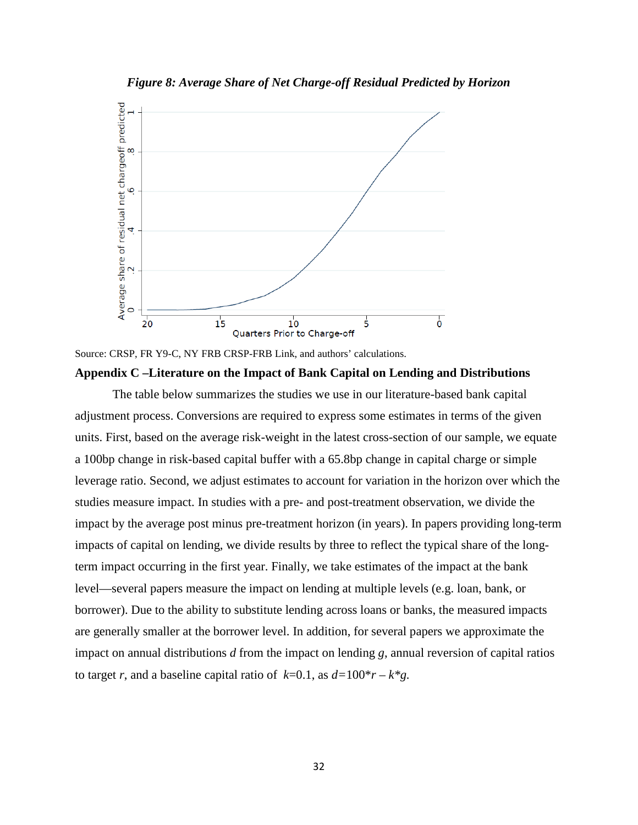<span id="page-32-0"></span>

*Figure 8: Average Share of Net Charge-off Residual Predicted by Horizon*



### **Appendix C –Literature on the Impact of Bank Capital on Lending and Distributions**

The table below summarizes the studies we use in our literature-based bank capital adjustment process. Conversions are required to express some estimates in terms of the given units. First, based on the average risk-weight in the latest cross-section of our sample, we equate a 100bp change in risk-based capital buffer with a 65.8bp change in capital charge or simple leverage ratio. Second, we adjust estimates to account for variation in the horizon over which the studies measure impact. In studies with a pre- and post-treatment observation, we divide the impact by the average post minus pre-treatment horizon (in years). In papers providing long-term impacts of capital on lending, we divide results by three to reflect the typical share of the longterm impact occurring in the first year. Finally, we take estimates of the impact at the bank level—several papers measure the impact on lending at multiple levels (e.g. loan, bank, or borrower). Due to the ability to substitute lending across loans or banks, the measured impacts are generally smaller at the borrower level. In addition, for several papers we approximate the impact on annual distributions *d* from the impact on lending *g*, annual reversion of capital ratios to target *r*, and a baseline capital ratio of  $k=0.1$ , as  $d=100^*r - k^*g$ .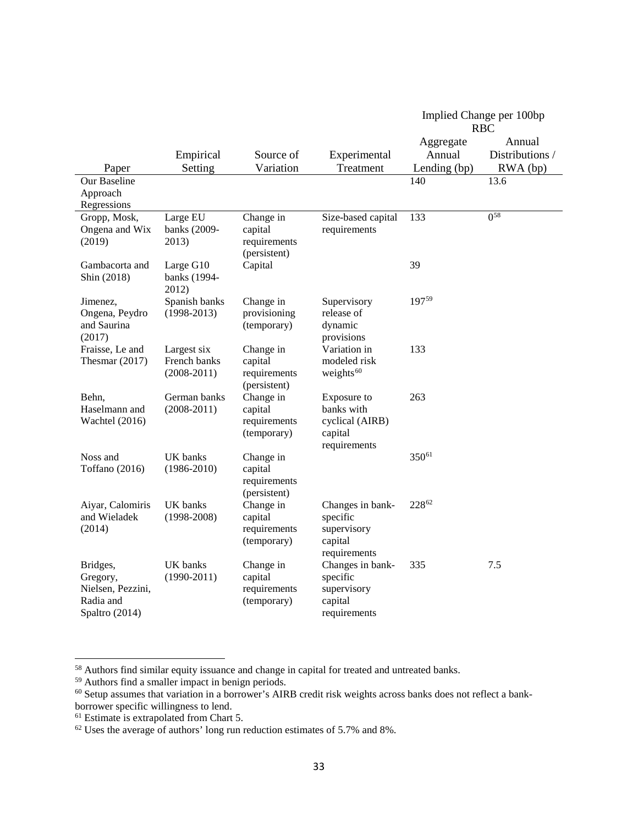|                                                                          |                                                |                                                      |                                                                         | Implied Change per 100bp<br><b>RBC</b> |                           |
|--------------------------------------------------------------------------|------------------------------------------------|------------------------------------------------------|-------------------------------------------------------------------------|----------------------------------------|---------------------------|
|                                                                          | Empirical                                      | Source of                                            | Experimental                                                            | Aggregate<br>Annual                    | Annual<br>Distributions / |
| Paper                                                                    | Setting                                        | Variation                                            | Treatment                                                               | Lending (bp)                           | RWA (bp)                  |
| Our Baseline                                                             |                                                |                                                      |                                                                         | 140                                    | 13.6                      |
| Approach                                                                 |                                                |                                                      |                                                                         |                                        |                           |
| Regressions<br>Gropp, Mosk,                                              | Large EU                                       | Change in                                            | Size-based capital                                                      | 133                                    | $0^{58}$                  |
| Ongena and Wix<br>(2019)                                                 | banks (2009-<br>2013)                          | capital<br>requirements<br>(persistent)              | requirements                                                            |                                        |                           |
| Gambacorta and<br>Shin (2018)                                            | Large G10<br>banks (1994-<br>2012)             | Capital                                              |                                                                         | 39                                     |                           |
| Jimenez,<br>Ongena, Peydro<br>and Saurina<br>(2017)                      | Spanish banks<br>$(1998-2013)$                 | Change in<br>provisioning<br>(temporary)             | Supervisory<br>release of<br>dynamic<br>provisions                      | 19759                                  |                           |
| Fraisse, Le and<br>Thesmar $(2017)$                                      | Largest six<br>French banks<br>$(2008 - 2011)$ | Change in<br>capital<br>requirements<br>(persistent) | Variation in<br>modeled risk<br>weights $60$                            | 133                                    |                           |
| Behn,<br>Haselmann and<br>Wachtel (2016)                                 | German banks<br>$(2008 - 2011)$                | Change in<br>capital<br>requirements<br>(temporary)  | Exposure to<br>banks with<br>cyclical (AIRB)<br>capital<br>requirements | 263                                    |                           |
| Noss and<br>Toffano (2016)                                               | UK banks<br>$(1986 - 2010)$                    | Change in<br>capital<br>requirements<br>(persistent) |                                                                         | 35061                                  |                           |
| Aiyar, Calomiris<br>and Wieladek<br>(2014)                               | UK banks<br>$(1998-2008)$                      | Change in<br>capital<br>requirements<br>(temporary)  | Changes in bank-<br>specific<br>supervisory<br>capital<br>requirements  | 22862                                  |                           |
| Bridges,<br>Gregory,<br>Nielsen, Pezzini,<br>Radia and<br>Spaltro (2014) | <b>UK</b> banks<br>$(1990-2011)$               | Change in<br>capital<br>requirements<br>(temporary)  | Changes in bank-<br>specific<br>supervisory<br>capital<br>requirements  | 335                                    | 7.5                       |

<span id="page-33-0"></span><sup>58</sup> Authors find similar equity issuance and change in capital for treated and untreated banks.

<span id="page-33-1"></span><sup>59</sup> Authors find a smaller impact in benign periods.

<span id="page-33-2"></span> $60$  Setup assumes that variation in a borrower's AIRB credit risk weights across banks does not reflect a bankborrower specific willingness to lend.

<span id="page-33-3"></span><sup>&</sup>lt;sup>61</sup> Estimate is extrapolated from Chart 5.

<span id="page-33-4"></span> $62$  Uses the average of authors' long run reduction estimates of 5.7% and 8%.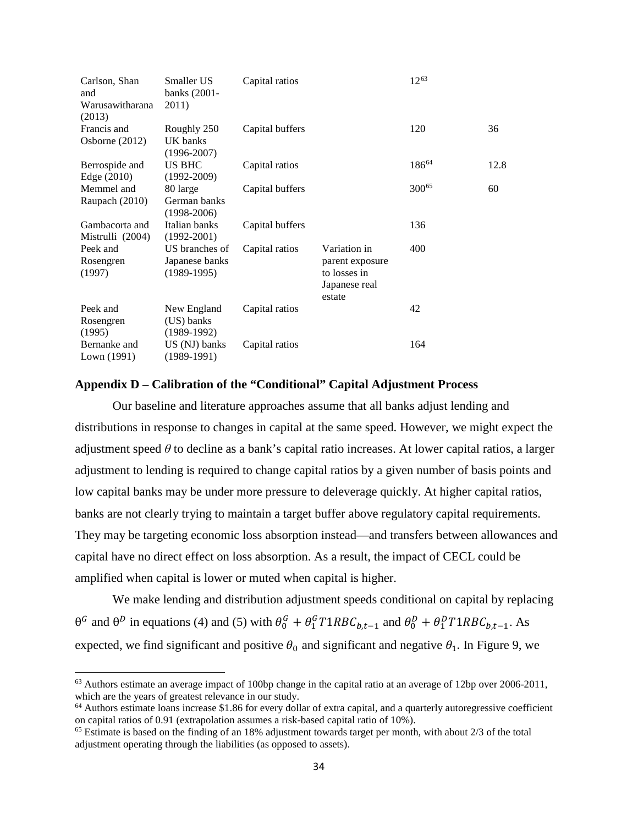| Carlson, Shan<br>and<br>Warusawitharana<br>(2013) | Smaller US<br>banks (2001-<br>2011) | Capital ratios  |                         | 12 <sup>63</sup> |      |
|---------------------------------------------------|-------------------------------------|-----------------|-------------------------|------------------|------|
| Francis and                                       | Roughly 250                         | Capital buffers |                         | 120              | 36   |
| Osborne $(2012)$                                  | UK banks<br>$(1996 - 2007)$         |                 |                         |                  |      |
| Berrospide and                                    | <b>US BHC</b>                       | Capital ratios  |                         | 18664            | 12.8 |
| Edge $(2010)$                                     | $(1992 - 2009)$                     |                 |                         |                  |      |
| Memmel and                                        | 80 large                            | Capital buffers |                         | 30065            | 60   |
| Raupach (2010)                                    | German banks<br>$(1998-2006)$       |                 |                         |                  |      |
| Gambacorta and                                    | Italian banks                       | Capital buffers |                         | 136              |      |
| Mistrulli (2004)                                  | $(1992 - 2001)$                     |                 |                         |                  |      |
| Peek and                                          | US branches of                      | Capital ratios  | Variation in            | 400              |      |
| Rosengren                                         | Japanese banks                      |                 | parent exposure         |                  |      |
| (1997)                                            | $(1989-1995)$                       |                 | to losses in            |                  |      |
|                                                   |                                     |                 | Japanese real<br>estate |                  |      |
| Peek and                                          | New England                         | Capital ratios  |                         | 42               |      |
| Rosengren                                         | (US) banks                          |                 |                         |                  |      |
| (1995)                                            | $(1989-1992)$                       |                 |                         |                  |      |
| Bernanke and<br>Lown (1991)                       | US (NJ) banks<br>(1989-1991)        | Capital ratios  |                         | 164              |      |

## **Appendix D – Calibration of the "Conditional" Capital Adjustment Process**

Our baseline and literature approaches assume that all banks adjust lending and distributions in response to changes in capital at the same speed. However, we might expect the adjustment speed *θ* to decline as a bank's capital ratio increases. At lower capital ratios, a larger adjustment to lending is required to change capital ratios by a given number of basis points and low capital banks may be under more pressure to deleverage quickly. At higher capital ratios, banks are not clearly trying to maintain a target buffer above regulatory capital requirements. They may be targeting economic loss absorption instead—and transfers between allowances and capital have no direct effect on loss absorption. As a result, the impact of CECL could be amplified when capital is lower or muted when capital is higher.

We make lending and distribution adjustment speeds conditional on capital by replacing  $\theta^G$  and  $\theta^D$  in equations (4) and (5) with  $\theta_0^G + \theta_1^G T 1 R B C_{b,t-1}$  and  $\theta_0^D + \theta_1^D T 1 R B C_{b,t-1}$ . As expected, we find significant and positive  $\theta_0$  and significant and negative  $\theta_1$ . In [Figure 9,](#page-35-0) we

<span id="page-34-0"></span><sup>&</sup>lt;sup>63</sup> Authors estimate an average impact of 100bp change in the capital ratio at an average of 12bp over 2006-2011, which are the years of greatest relevance in our study.

<span id="page-34-1"></span> $64$  Authors estimate loans increase \$1.86 for every dollar of extra capital, and a quarterly autoregressive coefficient on capital ratios of 0.91 (extrapolation assumes a risk-based capital ratio of 10%).

<span id="page-34-2"></span> $65$  Estimate is based on the finding of an 18% adjustment towards target per month, with about  $2/3$  of the total adjustment operating through the liabilities (as opposed to assets).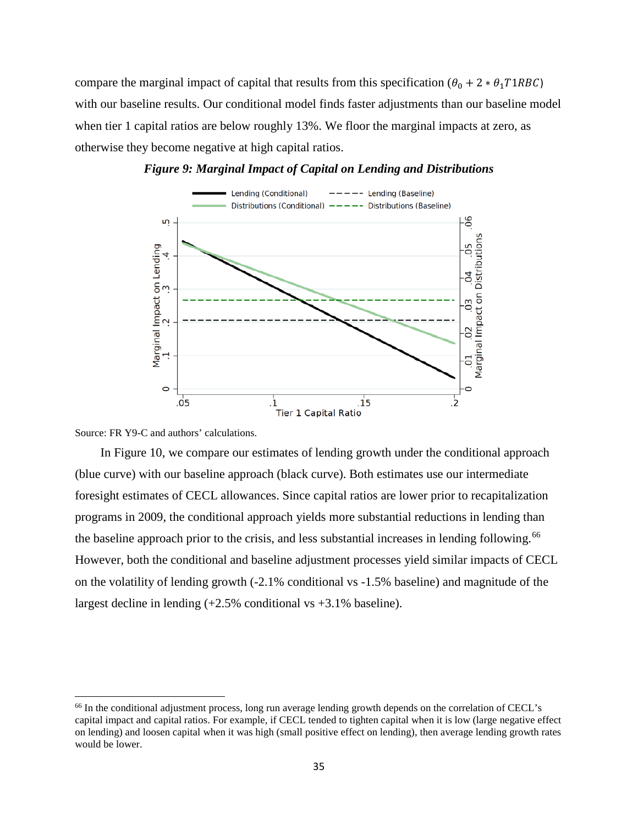compare the marginal impact of capital that results from this specification ( $\theta_0 + 2 * \theta_1 T1RBC$ ) with our baseline results. Our conditional model finds faster adjustments than our baseline model when tier 1 capital ratios are below roughly 13%. We floor the marginal impacts at zero, as otherwise they become negative at high capital ratios.

<span id="page-35-0"></span>

#### *Figure 9: Marginal Impact of Capital on Lending and Distributions*

Source: FR Y9-C and authors' calculations.

<span id="page-35-1"></span> $\overline{\phantom{a}}$ 

In [Figure 10,](#page-35-1) we compare our estimates of lending growth under the conditional approach (blue curve) with our baseline approach (black curve). Both estimates use our intermediate foresight estimates of CECL allowances. Since capital ratios are lower prior to recapitalization programs in 2009, the conditional approach yields more substantial reductions in lending than the baseline approach prior to the crisis, and less substantial increases in lending following.<sup>[66](#page-35-2)</sup> However, both the conditional and baseline adjustment processes yield similar impacts of CECL on the volatility of lending growth (-2.1% conditional vs -1.5% baseline) and magnitude of the largest decline in lending  $(+2.5\%$  conditional vs  $+3.1\%$  baseline).

<span id="page-35-2"></span><sup>&</sup>lt;sup>66</sup> In the conditional adjustment process, long run average lending growth depends on the correlation of CECL's capital impact and capital ratios. For example, if CECL tended to tighten capital when it is low (large negative effect on lending) and loosen capital when it was high (small positive effect on lending), then average lending growth rates would be lower.